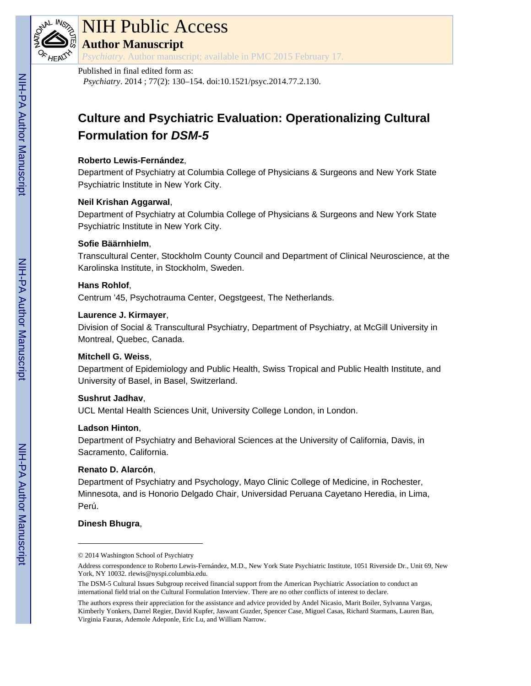

# NIH Public Access

**Author Manuscript**

*Psychiatry*. Author manuscript; available in PMC 2015 February 17.

# Published in final edited form as:

*Psychiatry*. 2014 ; 77(2): 130–154. doi:10.1521/psyc.2014.77.2.130.

# **Culture and Psychiatric Evaluation: Operationalizing Cultural Formulation for DSM-5**

# **Roberto Lewis-Fernández**,

Department of Psychiatry at Columbia College of Physicians & Surgeons and New York State Psychiatric Institute in New York City.

# **Neil Krishan Aggarwal**,

Department of Psychiatry at Columbia College of Physicians & Surgeons and New York State Psychiatric Institute in New York City.

# **Sofie Bäärnhielm**,

Transcultural Center, Stockholm County Council and Department of Clinical Neuroscience, at the Karolinska Institute, in Stockholm, Sweden.

# **Hans Rohlof**,

Centrum '45, Psychotrauma Center, Oegstgeest, The Netherlands.

# **Laurence J. Kirmayer**,

Division of Social & Transcultural Psychiatry, Department of Psychiatry, at McGill University in Montreal, Quebec, Canada.

# **Mitchell G. Weiss**,

Department of Epidemiology and Public Health, Swiss Tropical and Public Health Institute, and University of Basel, in Basel, Switzerland.

# **Sushrut Jadhav**,

UCL Mental Health Sciences Unit, University College London, in London.

# **Ladson Hinton**,

Department of Psychiatry and Behavioral Sciences at the University of California, Davis, in Sacramento, California.

# **Renato D. Alarcón**,

Department of Psychiatry and Psychology, Mayo Clinic College of Medicine, in Rochester, Minnesota, and is Honorio Delgado Chair, Universidad Peruana Cayetano Heredia, in Lima, Perú.

# **Dinesh Bhugra**,

<sup>© 2014</sup> Washington School of Psychiatry

Address correspondence to Roberto Lewis-Fernández, M.D., New York State Psychiatric Institute, 1051 Riverside Dr., Unit 69, New York, NY 10032. rlewis@nyspi.columbia.edu.

The DSM-5 Cultural Issues Subgroup received financial support from the American Psychiatric Association to conduct an international field trial on the Cultural Formulation Interview. There are no other conflicts of interest to declare.

The authors express their appreciation for the assistance and advice provided by Andel Nicasio, Marit Boiler, Sylvanna Vargas, Kimberly Yonkers, Darrel Regier, David Kupfer, Jaswant Guzder, Spencer Case, Miguel Casas, Richard Starmans, Lauren Ban, Virginia Fauras, Ademole Adeponle, Eric Lu, and William Narrow.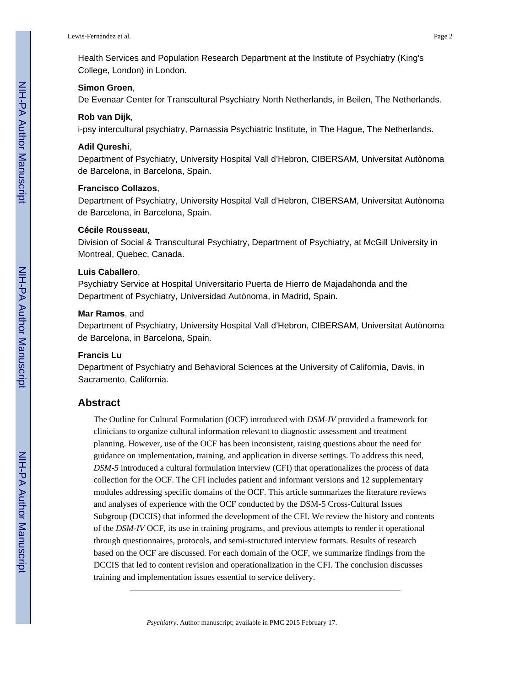Health Services and Population Research Department at the Institute of Psychiatry (King's College, London) in London.

#### **Simon Groen**,

De Evenaar Center for Transcultural Psychiatry North Netherlands, in Beilen, The Netherlands.

#### **Rob van Dijk**,

i-psy intercultural psychiatry, Parnassia Psychiatric Institute, in The Hague, The Netherlands.

#### **Adil Qureshi**,

Department of Psychiatry, University Hospital Vall d'Hebron, CIBERSAM, Universitat Autònoma de Barcelona, in Barcelona, Spain.

#### **Francisco Collazos**,

Department of Psychiatry, University Hospital Vall d'Hebron, CIBERSAM, Universitat Autònoma de Barcelona, in Barcelona, Spain.

#### **Cécile Rousseau**,

Division of Social & Transcultural Psychiatry, Department of Psychiatry, at McGill University in Montreal, Quebec, Canada.

#### **Luis Caballero**,

Psychiatry Service at Hospital Universitario Puerta de Hierro de Majadahonda and the Department of Psychiatry, Universidad Autónoma, in Madrid, Spain.

#### **Mar Ramos**, and

Department of Psychiatry, University Hospital Vall d'Hebron, CIBERSAM, Universitat Autònoma de Barcelona, in Barcelona, Spain.

#### **Francis Lu**

Department of Psychiatry and Behavioral Sciences at the University of California, Davis, in Sacramento, California.

#### **Abstract**

The Outline for Cultural Formulation (OCF) introduced with *DSM-IV* provided a framework for clinicians to organize cultural information relevant to diagnostic assessment and treatment planning. However, use of the OCF has been inconsistent, raising questions about the need for guidance on implementation, training, and application in diverse settings. To address this need, *DSM-5* introduced a cultural formulation interview (CFI) that operationalizes the process of data collection for the OCF. The CFI includes patient and informant versions and 12 supplementary modules addressing specific domains of the OCF. This article summarizes the literature reviews and analyses of experience with the OCF conducted by the DSM-5 Cross-Cultural Issues Subgroup (DCCIS) that informed the development of the CFI. We review the history and contents of the *DSM-IV* OCF, its use in training programs, and previous attempts to render it operational through questionnaires, protocols, and semi-structured interview formats. Results of research based on the OCF are discussed. For each domain of the OCF, we summarize findings from the DCCIS that led to content revision and operationalization in the CFI. The conclusion discusses training and implementation issues essential to service delivery.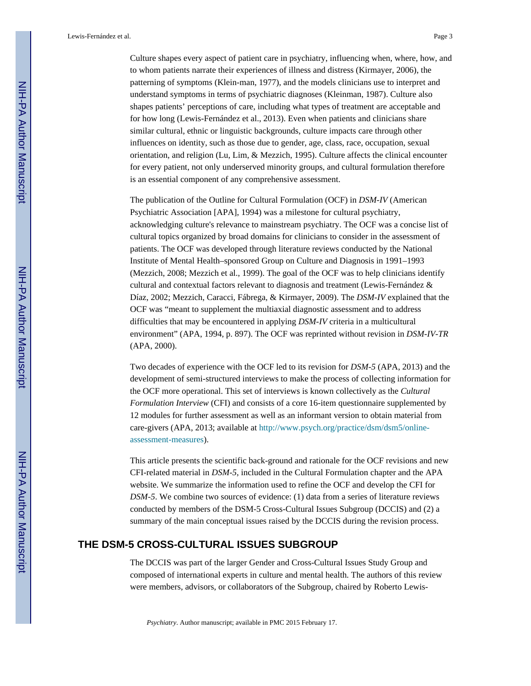Culture shapes every aspect of patient care in psychiatry, influencing when, where, how, and to whom patients narrate their experiences of illness and distress (Kirmayer, 2006), the patterning of symptoms (Klein-man, 1977), and the models clinicians use to interpret and understand symptoms in terms of psychiatric diagnoses (Kleinman, 1987). Culture also shapes patients' perceptions of care, including what types of treatment are acceptable and for how long (Lewis-Fernández et al., 2013). Even when patients and clinicians share similar cultural, ethnic or linguistic backgrounds, culture impacts care through other influences on identity, such as those due to gender, age, class, race, occupation, sexual orientation, and religion (Lu, Lim, & Mezzich, 1995). Culture affects the clinical encounter for every patient, not only underserved minority groups, and cultural formulation therefore is an essential component of any comprehensive assessment.

The publication of the Outline for Cultural Formulation (OCF) in *DSM-IV* (American Psychiatric Association [APA], 1994) was a milestone for cultural psychiatry, acknowledging culture's relevance to mainstream psychiatry. The OCF was a concise list of cultural topics organized by broad domains for clinicians to consider in the assessment of patients. The OCF was developed through literature reviews conducted by the National Institute of Mental Health–sponsored Group on Culture and Diagnosis in 1991–1993 (Mezzich, 2008; Mezzich et al., 1999). The goal of the OCF was to help clinicians identify cultural and contextual factors relevant to diagnosis and treatment (Lewis-Fernández & Díaz, 2002; Mezzich, Caracci, Fábrega, & Kirmayer, 2009). The *DSM-IV* explained that the OCF was "meant to supplement the multiaxial diagnostic assessment and to address difficulties that may be encountered in applying *DSM-IV* criteria in a multicultural environment" (APA, 1994, p. 897). The OCF was reprinted without revision in *DSM-IV-TR*  (APA, 2000).

Two decades of experience with the OCF led to its revision for *DSM-5* (APA, 2013) and the development of semi-structured interviews to make the process of collecting information for the OCF more operational. This set of interviews is known collectively as the *Cultural Formulation Interview* (CFI) and consists of a core 16-item questionnaire supplemented by 12 modules for further assessment as well as an informant version to obtain material from care-givers (APA, 2013; available at [http://www.psych.org/practice/dsm/dsm5/online](http://www.psych.org/practice/dsm/dsm5/online-assessment-measures)[assessment-measures\)](http://www.psych.org/practice/dsm/dsm5/online-assessment-measures).

This article presents the scientific back-ground and rationale for the OCF revisions and new CFI-related material in *DSM-5*, included in the Cultural Formulation chapter and the APA website. We summarize the information used to refine the OCF and develop the CFI for *DSM-5*. We combine two sources of evidence: (1) data from a series of literature reviews conducted by members of the DSM-5 Cross-Cultural Issues Subgroup (DCCIS) and (2) a summary of the main conceptual issues raised by the DCCIS during the revision process.

# **THE DSM-5 CROSS-CULTURAL ISSUES SUBGROUP**

The DCCIS was part of the larger Gender and Cross-Cultural Issues Study Group and composed of international experts in culture and mental health. The authors of this review were members, advisors, or collaborators of the Subgroup, chaired by Roberto Lewis-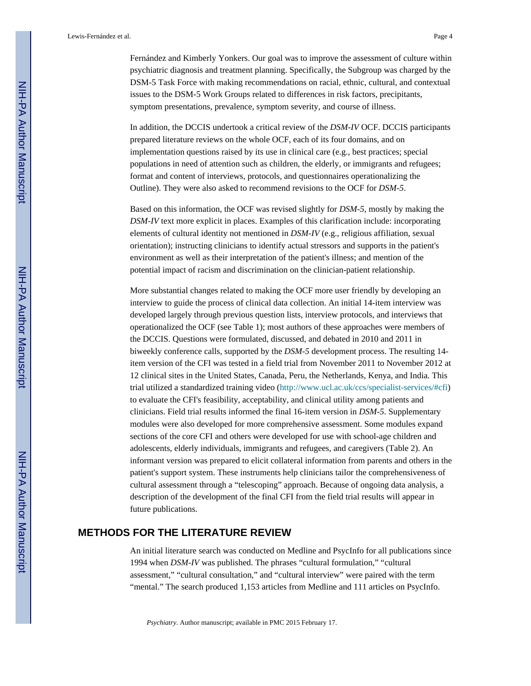Fernández and Kimberly Yonkers. Our goal was to improve the assessment of culture within psychiatric diagnosis and treatment planning. Specifically, the Subgroup was charged by the DSM-5 Task Force with making recommendations on racial, ethnic, cultural, and contextual issues to the DSM-5 Work Groups related to differences in risk factors, precipitants, symptom presentations, prevalence, symptom severity, and course of illness.

In addition, the DCCIS undertook a critical review of the *DSM-IV* OCF. DCCIS participants prepared literature reviews on the whole OCF, each of its four domains, and on implementation questions raised by its use in clinical care (e.g., best practices; special populations in need of attention such as children, the elderly, or immigrants and refugees; format and content of interviews, protocols, and questionnaires operationalizing the Outline). They were also asked to recommend revisions to the OCF for *DSM-5*.

Based on this information, the OCF was revised slightly for *DSM-5*, mostly by making the *DSM-IV* text more explicit in places. Examples of this clarification include: incorporating elements of cultural identity not mentioned in *DSM-IV* (e.g., religious affiliation, sexual orientation); instructing clinicians to identify actual stressors and supports in the patient's environment as well as their interpretation of the patient's illness; and mention of the potential impact of racism and discrimination on the clinician-patient relationship.

More substantial changes related to making the OCF more user friendly by developing an interview to guide the process of clinical data collection. An initial 14-item interview was developed largely through previous question lists, interview protocols, and interviews that operationalized the OCF (see Table 1); most authors of these approaches were members of the DCCIS. Questions were formulated, discussed, and debated in 2010 and 2011 in biweekly conference calls, supported by the *DSM-5* development process. The resulting 14 item version of the CFI was tested in a field trial from November 2011 to November 2012 at 12 clinical sites in the United States, Canada, Peru, the Netherlands, Kenya, and India. This trial utilized a standardized training video (<http://www.ucl.ac.uk/ccs/specialist-services/#cfi>) to evaluate the CFI's feasibility, acceptability, and clinical utility among patients and clinicians. Field trial results informed the final 16-item version in *DSM-5*. Supplementary modules were also developed for more comprehensive assessment. Some modules expand sections of the core CFI and others were developed for use with school-age children and adolescents, elderly individuals, immigrants and refugees, and caregivers (Table 2). An informant version was prepared to elicit collateral information from parents and others in the patient's support system. These instruments help clinicians tailor the comprehensiveness of cultural assessment through a "telescoping" approach. Because of ongoing data analysis, a description of the development of the final CFI from the field trial results will appear in future publications.

# **METHODS FOR THE LITERATURE REVIEW**

An initial literature search was conducted on Medline and PsycInfo for all publications since 1994 when *DSM-IV* was published. The phrases "cultural formulation," "cultural assessment," "cultural consultation," and "cultural interview" were paired with the term "mental." The search produced 1,153 articles from Medline and 111 articles on PsycInfo.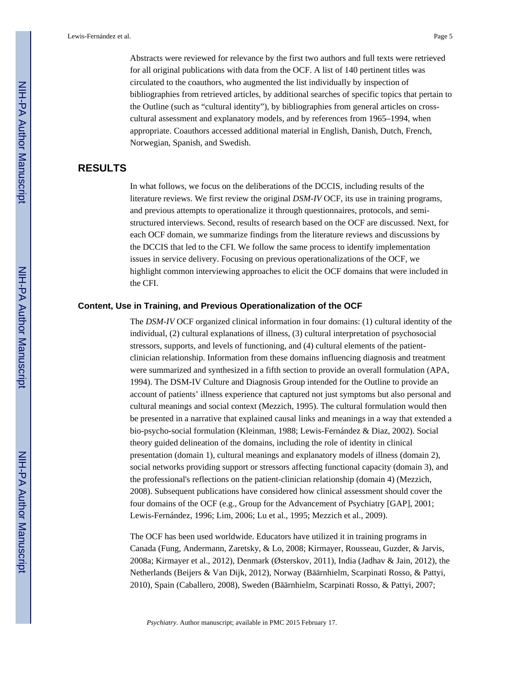Abstracts were reviewed for relevance by the first two authors and full texts were retrieved for all original publications with data from the OCF. A list of 140 pertinent titles was circulated to the coauthors, who augmented the list individually by inspection of bibliographies from retrieved articles, by additional searches of specific topics that pertain to the Outline (such as "cultural identity"), by bibliographies from general articles on crosscultural assessment and explanatory models, and by references from 1965–1994, when appropriate. Coauthors accessed additional material in English, Danish, Dutch, French, Norwegian, Spanish, and Swedish.

# **RESULTS**

In what follows, we focus on the deliberations of the DCCIS, including results of the literature reviews. We first review the original *DSM-IV* OCF, its use in training programs, and previous attempts to operationalize it through questionnaires, protocols, and semistructured interviews. Second, results of research based on the OCF are discussed. Next, for each OCF domain, we summarize findings from the literature reviews and discussions by the DCCIS that led to the CFI. We follow the same process to identify implementation issues in service delivery. Focusing on previous operationalizations of the OCF, we highlight common interviewing approaches to elicit the OCF domains that were included in the CFI.

#### **Content, Use in Training, and Previous Operationalization of the OCF**

The *DSM-IV* OCF organized clinical information in four domains: (1) cultural identity of the individual, (2) cultural explanations of illness, (3) cultural interpretation of psychosocial stressors, supports, and levels of functioning, and (4) cultural elements of the patientclinician relationship. Information from these domains influencing diagnosis and treatment were summarized and synthesized in a fifth section to provide an overall formulation (APA, 1994). The DSM-IV Culture and Diagnosis Group intended for the Outline to provide an account of patients' illness experience that captured not just symptoms but also personal and cultural meanings and social context (Mezzich, 1995). The cultural formulation would then be presented in a narrative that explained causal links and meanings in a way that extended a bio-psycho-social formulation (Kleinman, 1988; Lewis-Fernández & Diaz, 2002). Social theory guided delineation of the domains, including the role of identity in clinical presentation (domain 1), cultural meanings and explanatory models of illness (domain 2), social networks providing support or stressors affecting functional capacity (domain 3), and the professional's reflections on the patient-clinician relationship (domain 4) (Mezzich, 2008). Subsequent publications have considered how clinical assessment should cover the four domains of the OCF (e.g., Group for the Advancement of Psychiatry [GAP], 2001; Lewis-Fernández, 1996; Lim, 2006; Lu et al., 1995; Mezzich et al., 2009).

The OCF has been used worldwide. Educators have utilized it in training programs in Canada (Fung, Andermann, Zaretsky, & Lo, 2008; Kirmayer, Rousseau, Guzder, & Jarvis, 2008a; Kirmayer et al., 2012), Denmark (Østerskov, 2011), India (Jadhav & Jain, 2012), the Netherlands (Beijers & Van Dijk, 2012), Norway (Bäärnhielm, Scarpinati Rosso, & Pattyi, 2010), Spain (Caballero, 2008), Sweden (Bäärnhielm, Scarpinati Rosso, & Pattyi, 2007;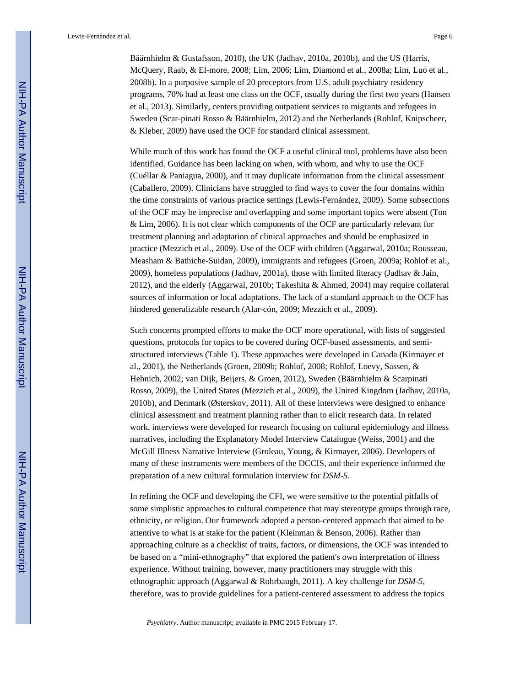Bäärnhielm & Gustafsson, 2010), the UK (Jadhav, 2010a, 2010b), and the US (Harris, McQuery, Raab, & El-more, 2008; Lim, 2006; Lim, Diamond et al., 2008a; Lim, Luo et al., 2008b). In a purposive sample of 20 preceptors from U.S. adult psychiatry residency programs, 70% had at least one class on the OCF, usually during the first two years (Hansen et al., 2013). Similarly, centers providing outpatient services to migrants and refugees in Sweden (Scar-pinati Rosso & Bäärnhielm, 2012) and the Netherlands (Rohlof, Knipscheer, & Kleber, 2009) have used the OCF for standard clinical assessment.

While much of this work has found the OCF a useful clinical tool, problems have also been identified. Guidance has been lacking on when, with whom, and why to use the OCF (Cuéllar & Paniagua, 2000), and it may duplicate information from the clinical assessment (Caballero, 2009). Clinicians have struggled to find ways to cover the four domains within the time constraints of various practice settings (Lewis-Fernández, 2009). Some subsections of the OCF may be imprecise and overlapping and some important topics were absent (Ton & Lim, 2006). It is not clear which components of the OCF are particularly relevant for treatment planning and adaptation of clinical approaches and should be emphasized in practice (Mezzich et al., 2009). Use of the OCF with children (Aggarwal, 2010a; Rousseau, Measham & Bathiche-Suidan, 2009), immigrants and refugees (Groen, 2009a; Rohlof et al., 2009), homeless populations (Jadhav, 2001a), those with limited literacy (Jadhav & Jain, 2012), and the elderly (Aggarwal, 2010b; Takeshita & Ahmed, 2004) may require collateral sources of information or local adaptations. The lack of a standard approach to the OCF has hindered generalizable research (Alar-cón, 2009; Mezzich et al., 2009).

Such concerns prompted efforts to make the OCF more operational, with lists of suggested questions, protocols for topics to be covered during OCF-based assessments, and semistructured interviews (Table 1). These approaches were developed in Canada (Kirmayer et al., 2001), the Netherlands (Groen, 2009b; Rohlof, 2008; Rohlof, Loevy, Sassen, & Hehnich, 2002; van Dijk, Beijers, & Groen, 2012), Sweden (Bäärnhielm & Scarpinati Rosso, 2009), the United States (Mezzich et al., 2009), the United Kingdom (Jadhav, 2010a, 2010b), and Denmark (Østerskov, 2011). All of these interviews were designed to enhance clinical assessment and treatment planning rather than to elicit research data. In related work, interviews were developed for research focusing on cultural epidemiology and illness narratives, including the Explanatory Model Interview Catalogue (Weiss, 2001) and the McGill Illness Narrative Interview (Groleau, Young, & Kirmayer, 2006). Developers of many of these instruments were members of the DCCIS, and their experience informed the preparation of a new cultural formulation interview for *DSM-5*.

In refining the OCF and developing the CFI, we were sensitive to the potential pitfalls of some simplistic approaches to cultural competence that may stereotype groups through race, ethnicity, or religion. Our framework adopted a person-centered approach that aimed to be attentive to what is at stake for the patient (Kleinman & Benson, 2006). Rather than approaching culture as a checklist of traits, factors, or dimensions, the OCF was intended to be based on a "mini-ethnography" that explored the patient's own interpretation of illness experience. Without training, however, many practitioners may struggle with this ethnographic approach (Aggarwal & Rohrbaugh, 2011). A key challenge for *DSM-5*, therefore, was to provide guidelines for a patient-centered assessment to address the topics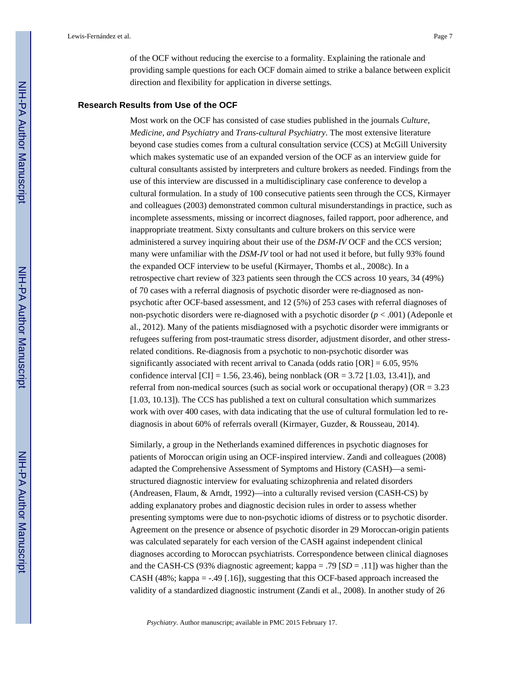of the OCF without reducing the exercise to a formality. Explaining the rationale and providing sample questions for each OCF domain aimed to strike a balance between explicit direction and flexibility for application in diverse settings.

#### **Research Results from Use of the OCF**

Most work on the OCF has consisted of case studies published in the journals *Culture, Medicine, and Psychiatry* and *Trans-cultural Psychiatry*. The most extensive literature beyond case studies comes from a cultural consultation service (CCS) at McGill University which makes systematic use of an expanded version of the OCF as an interview guide for cultural consultants assisted by interpreters and culture brokers as needed. Findings from the use of this interview are discussed in a multidisciplinary case conference to develop a cultural formulation. In a study of 100 consecutive patients seen through the CCS, Kirmayer and colleagues (2003) demonstrated common cultural misunderstandings in practice, such as incomplete assessments, missing or incorrect diagnoses, failed rapport, poor adherence, and inappropriate treatment. Sixty consultants and culture brokers on this service were administered a survey inquiring about their use of the *DSM-IV* OCF and the CCS version; many were unfamiliar with the *DSM-IV* tool or had not used it before, but fully 93% found the expanded OCF interview to be useful (Kirmayer, Thombs et al., 2008c). In a retrospective chart review of 323 patients seen through the CCS across 10 years, 34 (49%) of 70 cases with a referral diagnosis of psychotic disorder were re-diagnosed as nonpsychotic after OCF-based assessment, and 12 (5%) of 253 cases with referral diagnoses of non-psychotic disorders were re-diagnosed with a psychotic disorder (*p* < .001) (Adeponle et al., 2012). Many of the patients misdiagnosed with a psychotic disorder were immigrants or refugees suffering from post-traumatic stress disorder, adjustment disorder, and other stressrelated conditions. Re-diagnosis from a psychotic to non-psychotic disorder was significantly associated with recent arrival to Canada (odds ratio  $[OR] = 6.05, 95\%$ confidence interval  $\text{[CI]} = 1.56, 23.46$ , being nonblack  $\text{[OR]} = 3.72$   $\text{[1.03]}$ , 13.41]), and referral from non-medical sources (such as social work or occupational therapy) ( $OR = 3.23$ [1.03, 10.13]). The CCS has published a text on cultural consultation which summarizes work with over 400 cases, with data indicating that the use of cultural formulation led to rediagnosis in about 60% of referrals overall (Kirmayer, Guzder, & Rousseau, 2014).

Similarly, a group in the Netherlands examined differences in psychotic diagnoses for patients of Moroccan origin using an OCF-inspired interview. Zandi and colleagues (2008) adapted the Comprehensive Assessment of Symptoms and History (CASH)—a semistructured diagnostic interview for evaluating schizophrenia and related disorders (Andreasen, Flaum, & Arndt, 1992)—into a culturally revised version (CASH-CS) by adding explanatory probes and diagnostic decision rules in order to assess whether presenting symptoms were due to non-psychotic idioms of distress or to psychotic disorder. Agreement on the presence or absence of psychotic disorder in 29 Moroccan-origin patients was calculated separately for each version of the CASH against independent clinical diagnoses according to Moroccan psychiatrists. Correspondence between clinical diagnoses and the CASH-CS (93% diagnostic agreement; kappa = .79  $[SD = .11]$ ) was higher than the CASH  $(48\%; \text{kappa} = -0.49$  [.16]), suggesting that this OCF-based approach increased the validity of a standardized diagnostic instrument (Zandi et al., 2008). In another study of 26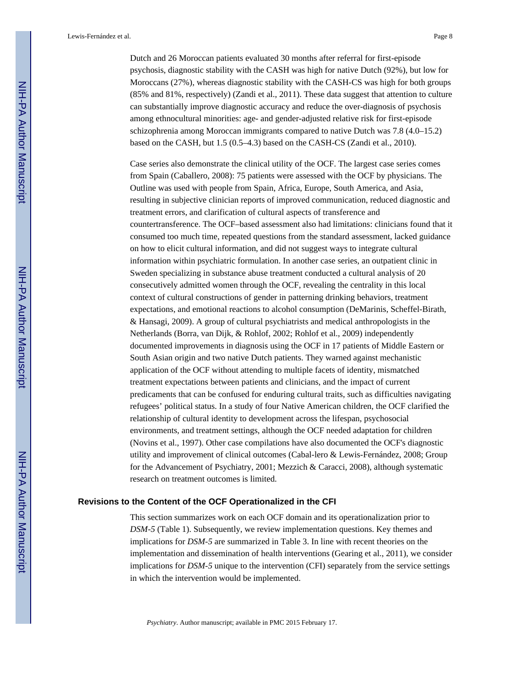Dutch and 26 Moroccan patients evaluated 30 months after referral for first-episode psychosis, diagnostic stability with the CASH was high for native Dutch (92%), but low for Moroccans (27%), whereas diagnostic stability with the CASH-CS was high for both groups (85% and 81%, respectively) (Zandi et al., 2011). These data suggest that attention to culture can substantially improve diagnostic accuracy and reduce the over-diagnosis of psychosis among ethnocultural minorities: age- and gender-adjusted relative risk for first-episode schizophrenia among Moroccan immigrants compared to native Dutch was 7.8 (4.0–15.2) based on the CASH, but 1.5 (0.5–4.3) based on the CASH-CS (Zandi et al., 2010).

Case series also demonstrate the clinical utility of the OCF. The largest case series comes from Spain (Caballero, 2008): 75 patients were assessed with the OCF by physicians. The Outline was used with people from Spain, Africa, Europe, South America, and Asia, resulting in subjective clinician reports of improved communication, reduced diagnostic and treatment errors, and clarification of cultural aspects of transference and countertransference. The OCF–based assessment also had limitations: clinicians found that it consumed too much time, repeated questions from the standard assessment, lacked guidance on how to elicit cultural information, and did not suggest ways to integrate cultural information within psychiatric formulation. In another case series, an outpatient clinic in Sweden specializing in substance abuse treatment conducted a cultural analysis of 20 consecutively admitted women through the OCF, revealing the centrality in this local context of cultural constructions of gender in patterning drinking behaviors, treatment expectations, and emotional reactions to alcohol consumption (DeMarinis, Scheffel-Birath, & Hansagi, 2009). A group of cultural psychiatrists and medical anthropologists in the Netherlands (Borra, van Dijk, & Rohlof, 2002; Rohlof et al., 2009) independently documented improvements in diagnosis using the OCF in 17 patients of Middle Eastern or South Asian origin and two native Dutch patients. They warned against mechanistic application of the OCF without attending to multiple facets of identity, mismatched treatment expectations between patients and clinicians, and the impact of current predicaments that can be confused for enduring cultural traits, such as difficulties navigating refugees' political status. In a study of four Native American children, the OCF clarified the relationship of cultural identity to development across the lifespan, psychosocial environments, and treatment settings, although the OCF needed adaptation for children (Novins et al., 1997). Other case compilations have also documented the OCF's diagnostic utility and improvement of clinical outcomes (Cabal-lero & Lewis-Fernández, 2008; Group for the Advancement of Psychiatry, 2001; Mezzich & Caracci, 2008), although systematic research on treatment outcomes is limited.

#### **Revisions to the Content of the OCF Operationalized in the CFI**

This section summarizes work on each OCF domain and its operationalization prior to *DSM-5* (Table 1). Subsequently, we review implementation questions. Key themes and implications for *DSM-5* are summarized in Table 3. In line with recent theories on the implementation and dissemination of health interventions (Gearing et al., 2011), we consider implications for *DSM-5* unique to the intervention (CFI) separately from the service settings in which the intervention would be implemented.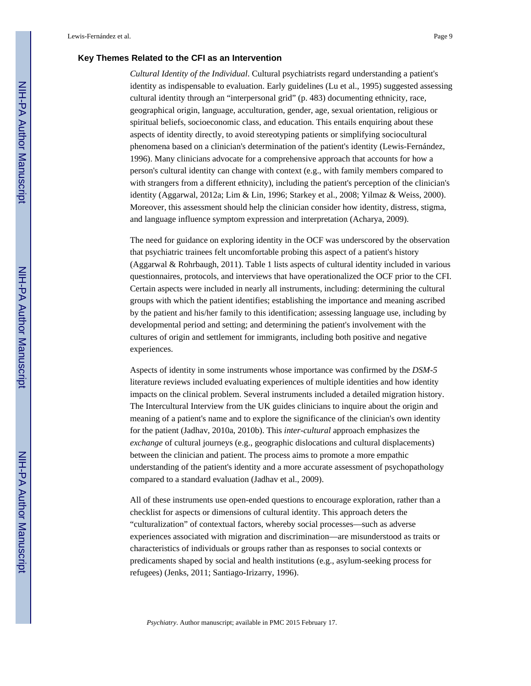#### **Key Themes Related to the CFI as an Intervention**

*Cultural Identity of the Individual*. Cultural psychiatrists regard understanding a patient's identity as indispensable to evaluation. Early guidelines (Lu et al., 1995) suggested assessing cultural identity through an "interpersonal grid" (p. 483) documenting ethnicity, race, geographical origin, language, acculturation, gender, age, sexual orientation, religious or spiritual beliefs, socioeconomic class, and education. This entails enquiring about these aspects of identity directly, to avoid stereotyping patients or simplifying sociocultural phenomena based on a clinician's determination of the patient's identity (Lewis-Fernández, 1996). Many clinicians advocate for a comprehensive approach that accounts for how a person's cultural identity can change with context (e.g., with family members compared to with strangers from a different ethnicity), including the patient's perception of the clinician's identity (Aggarwal, 2012a; Lim & Lin, 1996; Starkey et al., 2008; Yilmaz & Weiss, 2000). Moreover, this assessment should help the clinician consider how identity, distress, stigma, and language influence symptom expression and interpretation (Acharya, 2009).

The need for guidance on exploring identity in the OCF was underscored by the observation that psychiatric trainees felt uncomfortable probing this aspect of a patient's history (Aggarwal & Rohrbaugh, 2011). Table 1 lists aspects of cultural identity included in various questionnaires, protocols, and interviews that have operationalized the OCF prior to the CFI. Certain aspects were included in nearly all instruments, including: determining the cultural groups with which the patient identifies; establishing the importance and meaning ascribed by the patient and his/her family to this identification; assessing language use, including by developmental period and setting; and determining the patient's involvement with the cultures of origin and settlement for immigrants, including both positive and negative experiences.

Aspects of identity in some instruments whose importance was confirmed by the *DSM-5*  literature reviews included evaluating experiences of multiple identities and how identity impacts on the clinical problem. Several instruments included a detailed migration history. The Intercultural Interview from the UK guides clinicians to inquire about the origin and meaning of a patient's name and to explore the significance of the clinician's own identity for the patient (Jadhav, 2010a, 2010b). This *inter-cultural* approach emphasizes the *exchange* of cultural journeys (e.g., geographic dislocations and cultural displacements) between the clinician and patient. The process aims to promote a more empathic understanding of the patient's identity and a more accurate assessment of psychopathology compared to a standard evaluation (Jadhav et al., 2009).

All of these instruments use open-ended questions to encourage exploration, rather than a checklist for aspects or dimensions of cultural identity. This approach deters the "culturalization" of contextual factors, whereby social processes—such as adverse experiences associated with migration and discrimination—are misunderstood as traits or characteristics of individuals or groups rather than as responses to social contexts or predicaments shaped by social and health institutions (e.g., asylum-seeking process for refugees) (Jenks, 2011; Santiago-Irizarry, 1996).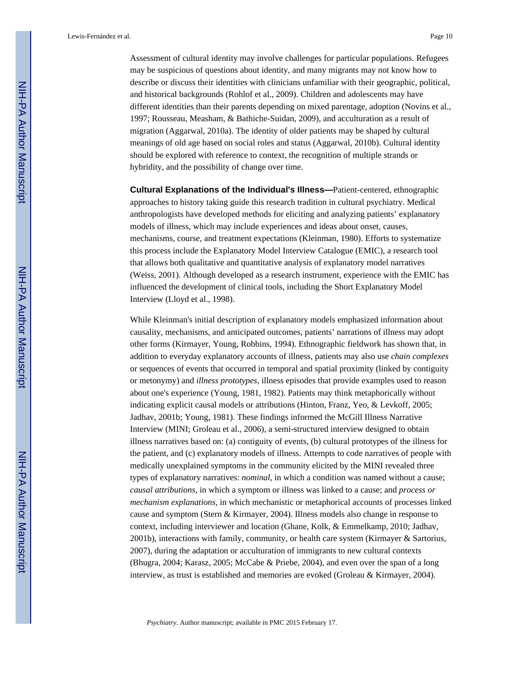Assessment of cultural identity may involve challenges for particular populations. Refugees may be suspicious of questions about identity, and many migrants may not know how to describe or discuss their identities with clinicians unfamiliar with their geographic, political, and historical backgrounds (Rohlof et al., 2009). Children and adolescents may have different identities than their parents depending on mixed parentage, adoption (Novins et al., 1997; Rousseau, Measham, & Bathiche-Suidan, 2009), and acculturation as a result of migration (Aggarwal, 2010a). The identity of older patients may be shaped by cultural meanings of old age based on social roles and status (Aggarwal, 2010b). Cultural identity should be explored with reference to context, the recognition of multiple strands or hybridity, and the possibility of change over time.

**Cultural Explanations of the Individual's Illness—**Patient-centered, ethnographic approaches to history taking guide this research tradition in cultural psychiatry. Medical anthropologists have developed methods for eliciting and analyzing patients' explanatory models of illness, which may include experiences and ideas about onset, causes, mechanisms, course, and treatment expectations (Kleinman, 1980). Efforts to systematize this process include the Explanatory Model Interview Catalogue (EMIC), a research tool that allows both qualitative and quantitative analysis of explanatory model narratives (Weiss, 2001). Although developed as a research instrument, experience with the EMIC has influenced the development of clinical tools, including the Short Explanatory Model Interview (Lloyd et al., 1998).

While Kleinman's initial description of explanatory models emphasized information about causality, mechanisms, and anticipated outcomes, patients' narrations of illness may adopt other forms (Kirmayer, Young, Robbins, 1994). Ethnographic fieldwork has shown that, in addition to everyday explanatory accounts of illness, patients may also use *chain complexes*  or sequences of events that occurred in temporal and spatial proximity (linked by contiguity or metonymy) and *illness prototypes,* illness episodes that provide examples used to reason about one's experience (Young, 1981, 1982). Patients may think metaphorically without indicating explicit causal models or attributions (Hinton, Franz, Yeo, & Levkoff, 2005; Jadhav, 2001b; Young, 1981). These findings informed the McGill Illness Narrative Interview (MINI; Groleau et al., 2006), a semi-structured interview designed to obtain illness narratives based on: (a) contiguity of events, (b) cultural prototypes of the illness for the patient, and (c) explanatory models of illness. Attempts to code narratives of people with medically unexplained symptoms in the community elicited by the MINI revealed three types of explanatory narratives: *nominal*, in which a condition was named without a cause; *causal attributions*, in which a symptom or illness was linked to a cause; and *process or mechanism explanations*, in which mechanistic or metaphorical accounts of processes linked cause and symptom (Stern & Kirmayer, 2004). Illness models also change in response to context, including interviewer and location (Ghane, Kolk, & Emmelkamp, 2010; Jadhav, 2001b), interactions with family, community, or health care system (Kirmayer & Sartorius, 2007), during the adaptation or acculturation of immigrants to new cultural contexts (Bhugra, 2004; Karasz, 2005; McCabe & Priebe, 2004), and even over the span of a long interview, as trust is established and memories are evoked (Groleau & Kirmayer, 2004).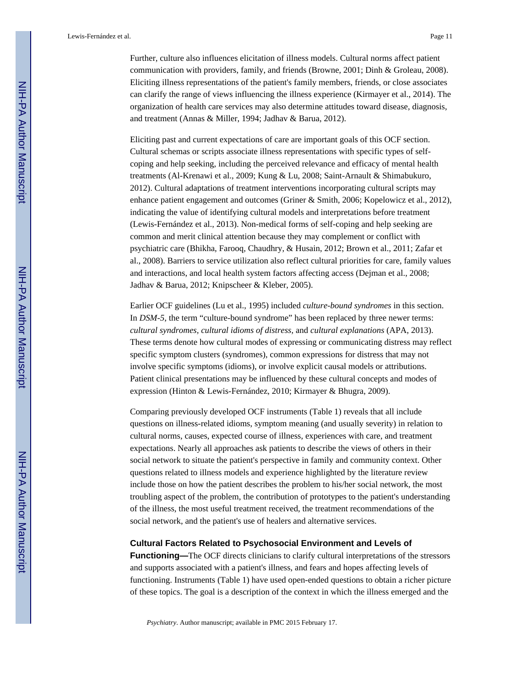Further, culture also influences elicitation of illness models. Cultural norms affect patient communication with providers, family, and friends (Browne, 2001; Dinh & Groleau, 2008). Eliciting illness representations of the patient's family members, friends, or close associates can clarify the range of views influencing the illness experience (Kirmayer et al., 2014). The organization of health care services may also determine attitudes toward disease, diagnosis, and treatment (Annas & Miller, 1994; Jadhav & Barua, 2012).

Eliciting past and current expectations of care are important goals of this OCF section. Cultural schemas or scripts associate illness representations with specific types of selfcoping and help seeking, including the perceived relevance and efficacy of mental health treatments (Al-Krenawi et al., 2009; Kung & Lu, 2008; Saint-Arnault & Shimabukuro, 2012). Cultural adaptations of treatment interventions incorporating cultural scripts may enhance patient engagement and outcomes (Griner & Smith, 2006; Kopelowicz et al., 2012), indicating the value of identifying cultural models and interpretations before treatment (Lewis-Fernández et al., 2013). Non-medical forms of self-coping and help seeking are common and merit clinical attention because they may complement or conflict with psychiatric care (Bhikha, Farooq, Chaudhry, & Husain, 2012; Brown et al., 2011; Zafar et al., 2008). Barriers to service utilization also reflect cultural priorities for care, family values and interactions, and local health system factors affecting access (Dejman et al., 2008; Jadhav & Barua, 2012; Knipscheer & Kleber, 2005).

Earlier OCF guidelines (Lu et al., 1995) included *culture-bound syndromes* in this section. In *DSM-5*, the term "culture-bound syndrome" has been replaced by three newer terms: *cultural syndromes, cultural idioms of distress,* and *cultural explanations* (APA, 2013). These terms denote how cultural modes of expressing or communicating distress may reflect specific symptom clusters (syndromes), common expressions for distress that may not involve specific symptoms (idioms), or involve explicit causal models or attributions. Patient clinical presentations may be influenced by these cultural concepts and modes of expression (Hinton & Lewis-Fernández, 2010; Kirmayer & Bhugra, 2009).

Comparing previously developed OCF instruments (Table 1) reveals that all include questions on illness-related idioms, symptom meaning (and usually severity) in relation to cultural norms, causes, expected course of illness, experiences with care, and treatment expectations. Nearly all approaches ask patients to describe the views of others in their social network to situate the patient's perspective in family and community context. Other questions related to illness models and experience highlighted by the literature review include those on how the patient describes the problem to his/her social network, the most troubling aspect of the problem, the contribution of prototypes to the patient's understanding of the illness, the most useful treatment received, the treatment recommendations of the social network, and the patient's use of healers and alternative services.

#### **Cultural Factors Related to Psychosocial Environment and Levels of**

**Functioning—**The OCF directs clinicians to clarify cultural interpretations of the stressors and supports associated with a patient's illness, and fears and hopes affecting levels of functioning. Instruments (Table 1) have used open-ended questions to obtain a richer picture of these topics. The goal is a description of the context in which the illness emerged and the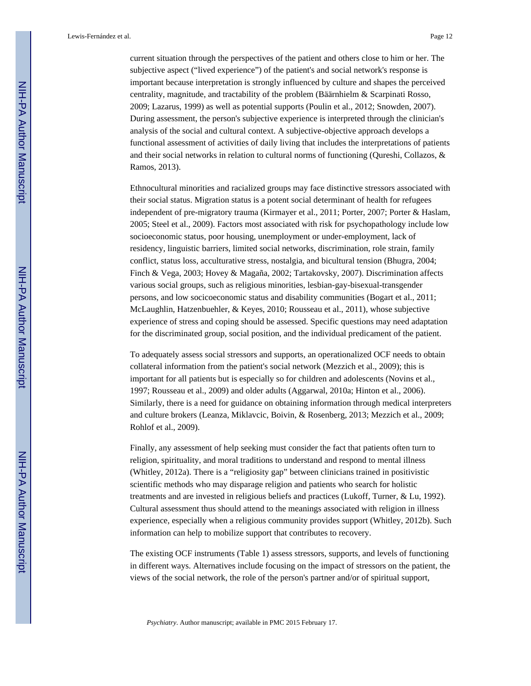current situation through the perspectives of the patient and others close to him or her. The subjective aspect ("lived experience") of the patient's and social network's response is important because interpretation is strongly influenced by culture and shapes the perceived centrality, magnitude, and tractability of the problem (Bäärnhielm & Scarpinati Rosso, 2009; Lazarus, 1999) as well as potential supports (Poulin et al., 2012; Snowden, 2007). During assessment, the person's subjective experience is interpreted through the clinician's analysis of the social and cultural context. A subjective-objective approach develops a functional assessment of activities of daily living that includes the interpretations of patients and their social networks in relation to cultural norms of functioning (Qureshi, Collazos, & Ramos, 2013).

Ethnocultural minorities and racialized groups may face distinctive stressors associated with their social status. Migration status is a potent social determinant of health for refugees independent of pre-migratory trauma (Kirmayer et al., 2011; Porter, 2007; Porter & Haslam, 2005; Steel et al., 2009). Factors most associated with risk for psychopathology include low socioeconomic status, poor housing, unemployment or under-employment, lack of residency, linguistic barriers, limited social networks, discrimination, role strain, family conflict, status loss, acculturative stress, nostalgia, and bicultural tension (Bhugra, 2004; Finch & Vega, 2003; Hovey & Magaña, 2002; Tartakovsky, 2007). Discrimination affects various social groups, such as religious minorities, lesbian-gay-bisexual-transgender persons, and low socicoeconomic status and disability communities (Bogart et al., 2011; McLaughlin, Hatzenbuehler, & Keyes, 2010; Rousseau et al., 2011), whose subjective experience of stress and coping should be assessed. Specific questions may need adaptation for the discriminated group, social position, and the individual predicament of the patient.

To adequately assess social stressors and supports, an operationalized OCF needs to obtain collateral information from the patient's social network (Mezzich et al., 2009); this is important for all patients but is especially so for children and adolescents (Novins et al., 1997; Rousseau et al., 2009) and older adults (Aggarwal, 2010a; Hinton et al., 2006). Similarly, there is a need for guidance on obtaining information through medical interpreters and culture brokers (Leanza, Miklavcic, Boivin, & Rosenberg, 2013; Mezzich et al., 2009; Rohlof et al., 2009).

Finally, any assessment of help seeking must consider the fact that patients often turn to religion, spirituality, and moral traditions to understand and respond to mental illness (Whitley, 2012a). There is a "religiosity gap" between clinicians trained in positivistic scientific methods who may disparage religion and patients who search for holistic treatments and are invested in religious beliefs and practices (Lukoff, Turner, & Lu, 1992). Cultural assessment thus should attend to the meanings associated with religion in illness experience, especially when a religious community provides support (Whitley, 2012b). Such information can help to mobilize support that contributes to recovery.

The existing OCF instruments (Table 1) assess stressors, supports, and levels of functioning in different ways. Alternatives include focusing on the impact of stressors on the patient, the views of the social network, the role of the person's partner and/or of spiritual support,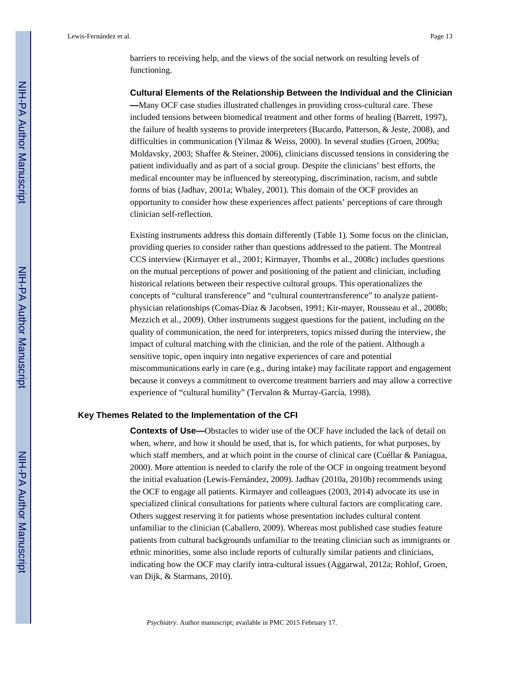barriers to receiving help, and the views of the social network on resulting levels of functioning.

#### **Cultural Elements of the Relationship Between the Individual and the Clinician**

**—**Many OCF case studies illustrated challenges in providing cross-cultural care. These included tensions between biomedical treatment and other forms of healing (Barrett, 1997), the failure of health systems to provide interpreters (Bucardo, Patterson, & Jeste, 2008), and difficulties in communication (Yilmaz & Weiss, 2000). In several studies (Groen, 2009a; Moldavsky, 2003; Shaffer & Steiner, 2006), clinicians discussed tensions in considering the patient individually and as part of a social group. Despite the clinicians' best efforts, the medical encounter may be influenced by stereotyping, discrimination, racism, and subtle forms of bias (Jadhav, 2001a; Whaley, 2001). This domain of the OCF provides an opportunity to consider how these experiences affect patients' perceptions of care through clinician self-reflection.

Existing instruments address this domain differently (Table 1). Some focus on the clinician, providing queries to consider rather than questions addressed to the patient. The Montreal CCS interview (Kirmayer et al., 2001; Kirmayer, Thombs et al., 2008c) includes questions on the mutual perceptions of power and positioning of the patient and clinician, including historical relations between their respective cultural groups. This operationalizes the concepts of "cultural transference" and "cultural countertransference" to analyze patientphysician relationships (Comas-Díaz & Jacobsen, 1991; Kir-mayer, Rousseau et al., 2008b; Mezzich et al., 2009). Other instruments suggest questions for the patient, including on the quality of communication, the need for interpreters, topics missed during the interview, the impact of cultural matching with the clinician, and the role of the patient. Although a sensitive topic, open inquiry into negative experiences of care and potential miscommunications early in care (e.g., during intake) may facilitate rapport and engagement because it conveys a commitment to overcome treatment barriers and may allow a corrective experience of "cultural humility" (Tervalon & Murray-García, 1998).

#### **Key Themes Related to the Implementation of the CFI**

**Contexts of Use—**Obstacles to wider use of the OCF have included the lack of detail on when, where, and how it should be used, that is, for which patients, for what purposes, by which staff members, and at which point in the course of clinical care (Cuéllar & Paniagua, 2000). More attention is needed to clarify the role of the OCF in ongoing treatment beyond the initial evaluation (Lewis-Fernández, 2009). Jadhav (2010a, 2010b) recommends using the OCF to engage all patients. Kirmayer and colleagues (2003, 2014) advocate its use in specialized clinical consultations for patients where cultural factors are complicating care. Others suggest reserving it for patients whose presentation includes cultural content unfamiliar to the clinician (Caballero, 2009). Whereas most published case studies feature patients from cultural backgrounds unfamiliar to the treating clinician such as immigrants or ethnic minorities, some also include reports of culturally similar patients and clinicians, indicating how the OCF may clarify intra-cultural issues (Aggarwal, 2012a; Rohlof, Groen, van Dijk, & Starmans, 2010).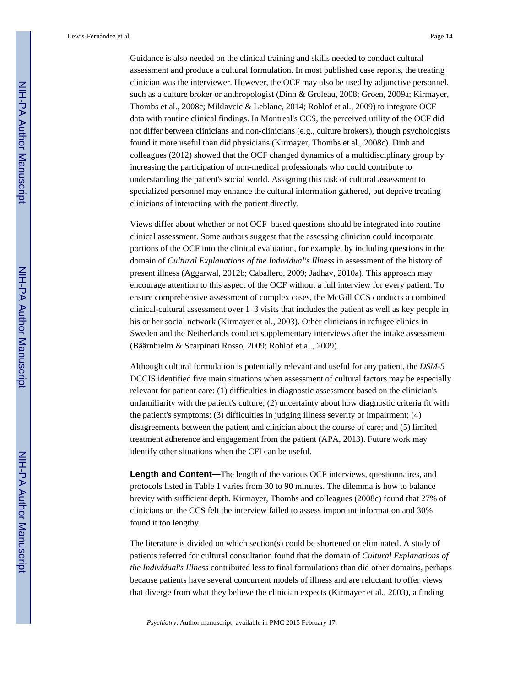Guidance is also needed on the clinical training and skills needed to conduct cultural assessment and produce a cultural formulation. In most published case reports, the treating clinician was the interviewer. However, the OCF may also be used by adjunctive personnel, such as a culture broker or anthropologist (Dinh & Groleau, 2008; Groen, 2009a; Kirmayer, Thombs et al., 2008c; Miklavcic & Leblanc, 2014; Rohlof et al., 2009) to integrate OCF data with routine clinical findings. In Montreal's CCS, the perceived utility of the OCF did not differ between clinicians and non-clinicians (e.g., culture brokers), though psychologists found it more useful than did physicians (Kirmayer, Thombs et al., 2008c). Dinh and colleagues (2012) showed that the OCF changed dynamics of a multidisciplinary group by increasing the participation of non-medical professionals who could contribute to understanding the patient's social world. Assigning this task of cultural assessment to specialized personnel may enhance the cultural information gathered, but deprive treating clinicians of interacting with the patient directly.

Views differ about whether or not OCF–based questions should be integrated into routine clinical assessment. Some authors suggest that the assessing clinician could incorporate portions of the OCF into the clinical evaluation, for example, by including questions in the domain of *Cultural Explanations of the Individual's Illness* in assessment of the history of present illness (Aggarwal, 2012b; Caballero, 2009; Jadhav, 2010a). This approach may encourage attention to this aspect of the OCF without a full interview for every patient. To ensure comprehensive assessment of complex cases, the McGill CCS conducts a combined clinical-cultural assessment over 1–3 visits that includes the patient as well as key people in his or her social network (Kirmayer et al., 2003). Other clinicians in refugee clinics in Sweden and the Netherlands conduct supplementary interviews after the intake assessment (Bäärnhielm & Scarpinati Rosso, 2009; Rohlof et al., 2009).

Although cultural formulation is potentially relevant and useful for any patient, the *DSM-5*  DCCIS identified five main situations when assessment of cultural factors may be especially relevant for patient care: (1) difficulties in diagnostic assessment based on the clinician's unfamiliarity with the patient's culture; (2) uncertainty about how diagnostic criteria fit with the patient's symptoms; (3) difficulties in judging illness severity or impairment; (4) disagreements between the patient and clinician about the course of care; and (5) limited treatment adherence and engagement from the patient (APA, 2013). Future work may identify other situations when the CFI can be useful.

**Length and Content—**The length of the various OCF interviews, questionnaires, and protocols listed in Table 1 varies from 30 to 90 minutes. The dilemma is how to balance brevity with sufficient depth. Kirmayer, Thombs and colleagues (2008c) found that 27% of clinicians on the CCS felt the interview failed to assess important information and 30% found it too lengthy.

The literature is divided on which section(s) could be shortened or eliminated. A study of patients referred for cultural consultation found that the domain of *Cultural Explanations of the Individual's Illness* contributed less to final formulations than did other domains, perhaps because patients have several concurrent models of illness and are reluctant to offer views that diverge from what they believe the clinician expects (Kirmayer et al., 2003), a finding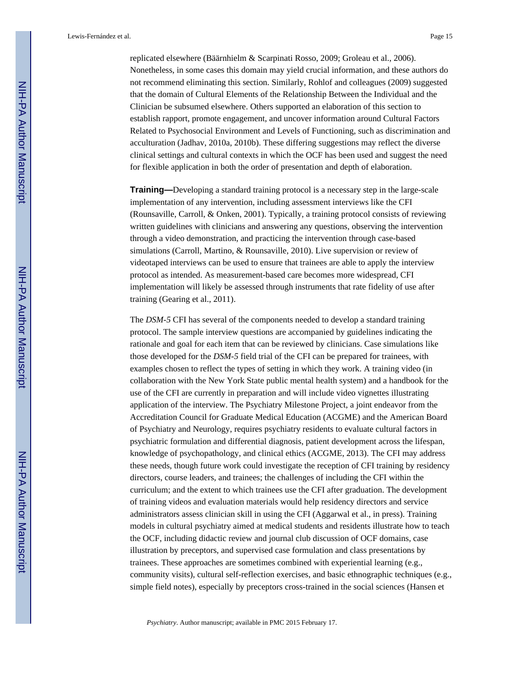replicated elsewhere (Bäärnhielm & Scarpinati Rosso, 2009; Groleau et al., 2006). Nonetheless, in some cases this domain may yield crucial information, and these authors do not recommend eliminating this section. Similarly, Rohlof and colleagues (2009) suggested that the domain of Cultural Elements of the Relationship Between the Individual and the Clinician be subsumed elsewhere. Others supported an elaboration of this section to establish rapport, promote engagement, and uncover information around Cultural Factors Related to Psychosocial Environment and Levels of Functioning, such as discrimination and acculturation (Jadhav, 2010a, 2010b). These differing suggestions may reflect the diverse clinical settings and cultural contexts in which the OCF has been used and suggest the need for flexible application in both the order of presentation and depth of elaboration.

**Training—**Developing a standard training protocol is a necessary step in the large-scale implementation of any intervention, including assessment interviews like the CFI (Rounsaville, Carroll, & Onken, 2001). Typically, a training protocol consists of reviewing written guidelines with clinicians and answering any questions, observing the intervention through a video demonstration, and practicing the intervention through case-based simulations (Carroll, Martino, & Rounsaville, 2010). Live supervision or review of videotaped interviews can be used to ensure that trainees are able to apply the interview protocol as intended. As measurement-based care becomes more widespread, CFI implementation will likely be assessed through instruments that rate fidelity of use after training (Gearing et al., 2011).

The *DSM-5* CFI has several of the components needed to develop a standard training protocol. The sample interview questions are accompanied by guidelines indicating the rationale and goal for each item that can be reviewed by clinicians. Case simulations like those developed for the *DSM-5* field trial of the CFI can be prepared for trainees, with examples chosen to reflect the types of setting in which they work. A training video (in collaboration with the New York State public mental health system) and a handbook for the use of the CFI are currently in preparation and will include video vignettes illustrating application of the interview. The Psychiatry Milestone Project, a joint endeavor from the Accreditation Council for Graduate Medical Education (ACGME) and the American Board of Psychiatry and Neurology, requires psychiatry residents to evaluate cultural factors in psychiatric formulation and differential diagnosis, patient development across the lifespan, knowledge of psychopathology, and clinical ethics (ACGME, 2013). The CFI may address these needs, though future work could investigate the reception of CFI training by residency directors, course leaders, and trainees; the challenges of including the CFI within the curriculum; and the extent to which trainees use the CFI after graduation. The development of training videos and evaluation materials would help residency directors and service administrators assess clinician skill in using the CFI (Aggarwal et al., in press). Training models in cultural psychiatry aimed at medical students and residents illustrate how to teach the OCF, including didactic review and journal club discussion of OCF domains, case illustration by preceptors, and supervised case formulation and class presentations by trainees. These approaches are sometimes combined with experiential learning (e.g., community visits), cultural self-reflection exercises, and basic ethnographic techniques (e.g., simple field notes), especially by preceptors cross-trained in the social sciences (Hansen et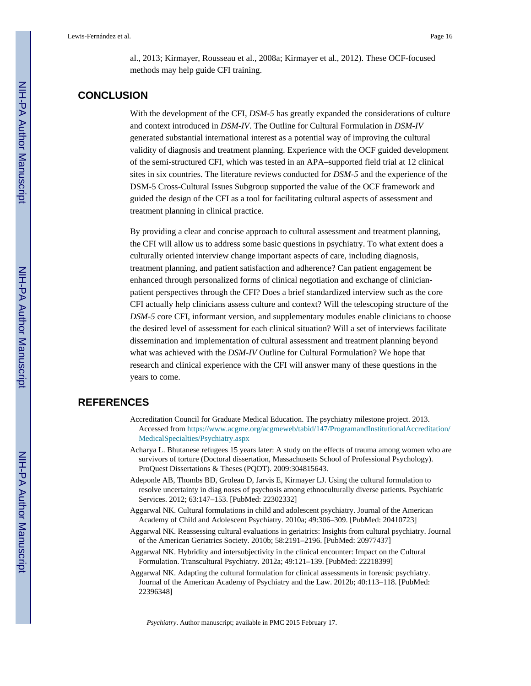al., 2013; Kirmayer, Rousseau et al., 2008a; Kirmayer et al., 2012). These OCF-focused methods may help guide CFI training.

# **CONCLUSION**

With the development of the CFI, *DSM-5* has greatly expanded the considerations of culture and context introduced in *DSM-IV*. The Outline for Cultural Formulation in *DSM-IV*  generated substantial international interest as a potential way of improving the cultural validity of diagnosis and treatment planning. Experience with the OCF guided development of the semi-structured CFI, which was tested in an APA–supported field trial at 12 clinical sites in six countries. The literature reviews conducted for *DSM-5* and the experience of the DSM-5 Cross-Cultural Issues Subgroup supported the value of the OCF framework and guided the design of the CFI as a tool for facilitating cultural aspects of assessment and treatment planning in clinical practice.

By providing a clear and concise approach to cultural assessment and treatment planning, the CFI will allow us to address some basic questions in psychiatry. To what extent does a culturally oriented interview change important aspects of care, including diagnosis, treatment planning, and patient satisfaction and adherence? Can patient engagement be enhanced through personalized forms of clinical negotiation and exchange of clinicianpatient perspectives through the CFI? Does a brief standardized interview such as the core CFI actually help clinicians assess culture and context? Will the telescoping structure of the *DSM-5* core CFI, informant version, and supplementary modules enable clinicians to choose the desired level of assessment for each clinical situation? Will a set of interviews facilitate dissemination and implementation of cultural assessment and treatment planning beyond what was achieved with the *DSM-IV* Outline for Cultural Formulation? We hope that research and clinical experience with the CFI will answer many of these questions in the years to come.

#### **REFERENCES**

- Accreditation Council for Graduate Medical Education. The psychiatry milestone project. 2013. Accessed from [https://www.acgme.org/acgmeweb/tabid/147/ProgramandInstitutionalAccreditation/](http://https://www.acgme.org/acgmeweb/tabid/147/ProgramandInstitutionalAccreditation/MedicalSpecialties/Psychiatry.aspx) [MedicalSpecialties/Psychiatry.aspx](http://https://www.acgme.org/acgmeweb/tabid/147/ProgramandInstitutionalAccreditation/MedicalSpecialties/Psychiatry.aspx)
- Acharya L. Bhutanese refugees 15 years later: A study on the effects of trauma among women who are survivors of torture (Doctoral dissertation, Massachusetts School of Professional Psychology). ProQuest Dissertations & Theses (PQDT). 2009:304815643.
- Adeponle AB, Thombs BD, Groleau D, Jarvis E, Kirmayer LJ. Using the cultural formulation to resolve uncertainty in diag noses of psychosis among ethnoculturally diverse patients. Psychiatric Services. 2012; 63:147–153. [PubMed: 22302332]
- Aggarwal NK. Cultural formulations in child and adolescent psychiatry. Journal of the American Academy of Child and Adolescent Psychiatry. 2010a; 49:306–309. [PubMed: 20410723]
- Aggarwal NK. Reassessing cultural evaluations in geriatrics: Insights from cultural psychiatry. Journal of the American Geriatrics Society. 2010b; 58:2191–2196. [PubMed: 20977437]
- Aggarwal NK. Hybridity and intersubjectivity in the clinical encounter: Impact on the Cultural Formulation. Transcultural Psychiatry. 2012a; 49:121–139. [PubMed: 22218399]
- Aggarwal NK. Adapting the cultural formulation for clinical assessments in forensic psychiatry. Journal of the American Academy of Psychiatry and the Law. 2012b; 40:113–118. [PubMed: 22396348]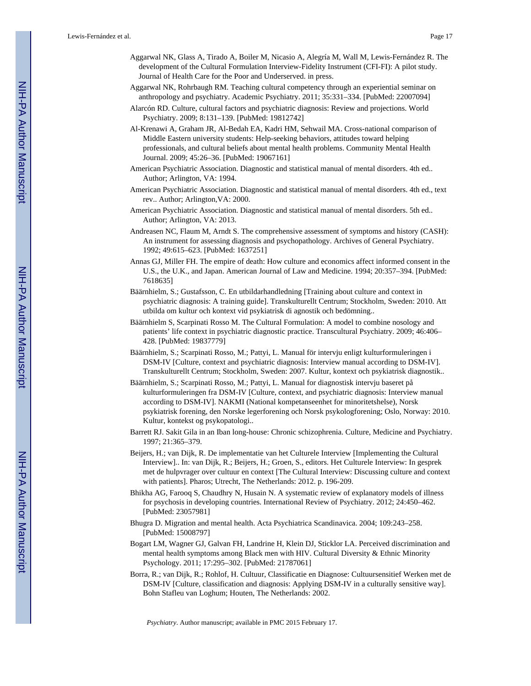- Aggarwal NK, Glass A, Tirado A, Boiler M, Nicasio A, Alegría M, Wall M, Lewis-Fernández R. The development of the Cultural Formulation Interview-Fidelity Instrument (CFI-FI): A pilot study. Journal of Health Care for the Poor and Underserved. in press.
- Aggarwal NK, Rohrbaugh RM. Teaching cultural competency through an experiential seminar on anthropology and psychiatry. Academic Psychiatry. 2011; 35:331–334. [PubMed: 22007094]
- Alarcón RD. Culture, cultural factors and psychiatric diagnosis: Review and projections. World Psychiatry. 2009; 8:131–139. [PubMed: 19812742]
- Al-Krenawi A, Graham JR, Al-Bedah EA, Kadri HM, Sehwail MA. Cross-national comparison of Middle Eastern university students: Help-seeking behaviors, attitudes toward helping professionals, and cultural beliefs about mental health problems. Community Mental Health Journal. 2009; 45:26–36. [PubMed: 19067161]
- American Psychiatric Association. Diagnostic and statistical manual of mental disorders. 4th ed.. Author; Arlington, VA: 1994.
- American Psychiatric Association. Diagnostic and statistical manual of mental disorders. 4th ed., text rev.. Author; Arlington,VA: 2000.
- American Psychiatric Association. Diagnostic and statistical manual of mental disorders. 5th ed.. Author; Arlington, VA: 2013.
- Andreasen NC, Flaum M, Arndt S. The comprehensive assessment of symptoms and history (CASH): An instrument for assessing diagnosis and psychopathology. Archives of General Psychiatry. 1992; 49:615–623. [PubMed: 1637251]
- Annas GJ, Miller FH. The empire of death: How culture and economics affect informed consent in the U.S., the U.K., and Japan. American Journal of Law and Medicine. 1994; 20:357–394. [PubMed: 7618635]
- Bäärnhielm, S.; Gustafsson, C. En utbildarhandledning [Training about culture and context in psychiatric diagnosis: A training guide]. Transkulturellt Centrum; Stockholm, Sweden: 2010. Att utbilda om kultur och kontext vid psykiatrisk di agnostik och bedömning..
- Bäärnhielm S, Scarpinati Rosso M. The Cultural Formulation: A model to combine nosology and patients' life context in psychiatric diagnostic practice. Transcultural Psychiatry. 2009; 46:406– 428. [PubMed: 19837779]
- Bäärnhielm, S.; Scarpinati Rosso, M.; Pattyi, L. Manual för intervju enligt kulturformuleringen i DSM-IV [Culture, context and psychiatric diagnosis: Interview manual according to DSM-IV]. Transkulturellt Centrum; Stockholm, Sweden: 2007. Kultur, kontext och psykiatrisk diagnostik..
- Bäärnhielm, S.; Scarpinati Rosso, M.; Pattyi, L. Manual for diagnostisk intervju baseret på kulturformuleringen fra DSM-IV [Culture, context, and psychiatric diagnosis: Interview manual according to DSM-IV]. NAKMI (National kompetanseenhet for minoritetshelse), Norsk psykiatrisk forening, den Norske legerforening och Norsk psykologforening; Oslo, Norway: 2010. Kultur, kontekst og psykopatologi..
- Barrett RJ. Sakit Gila in an Iban long-house: Chronic schizophrenia. Culture, Medicine and Psychiatry. 1997; 21:365–379.
- Beijers, H.; van Dijk, R. De implementatie van het Culturele Interview [Implementing the Cultural Interview].. In: van Dijk, R.; Beijers, H.; Groen, S., editors. Het Culturele Interview: In gesprek met de hulpvrager over cultuur en context [The Cultural Interview: Discussing culture and context with patients]. Pharos; Utrecht, The Netherlands: 2012. p. 196-209.
- Bhikha AG, Farooq S, Chaudhry N, Husain N. A systematic review of explanatory models of illness for psychosis in developing countries. International Review of Psychiatry. 2012; 24:450–462. [PubMed: 23057981]
- Bhugra D. Migration and mental health. Acta Psychiatrica Scandinavica. 2004; 109:243–258. [PubMed: 15008797]
- Bogart LM, Wagner GJ, Galvan FH, Landrine H, Klein DJ, Sticklor LA. Perceived discrimination and mental health symptoms among Black men with HIV. Cultural Diversity & Ethnic Minority Psychology. 2011; 17:295–302. [PubMed: 21787061]
- Borra, R.; van Dijk, R.; Rohlof, H. Cultuur, Classificatie en Diagnose: Cultuursensitief Werken met de DSM-IV [Culture, classification and diagnosis: Applying DSM-IV in a culturally sensitive way]. Bohn Stafleu van Loghum; Houten, The Netherlands: 2002.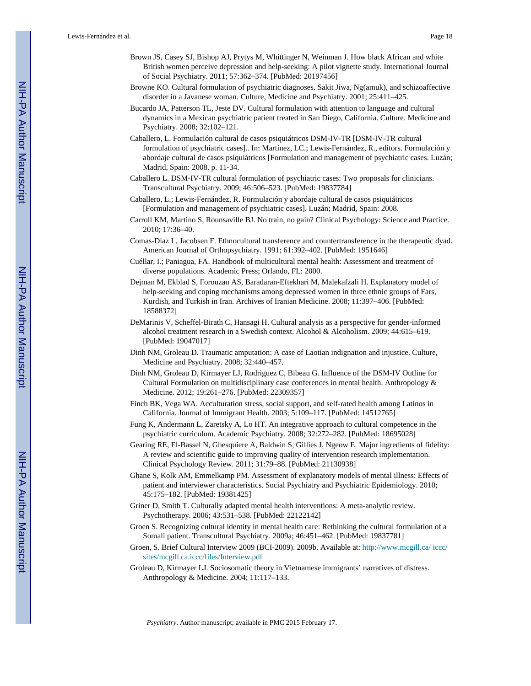- Brown JS, Casey SJ, Bishop AJ, Prytys M, Whittinger N, Weinman J. How black African and white British women perceive depression and help-seeking: A pilot vignette study. International Journal of Social Psychiatry. 2011; 57:362–374. [PubMed: 20197456]
- Browne KO. Cultural formulation of psychiatric diagnoses. Sakit Jiwa, Ng(amuk), and schizoaffective disorder in a Javanese woman. Culture, Medicine and Psychiatry. 2001; 25:411–425.
- Bucardo JA, Patterson TL, Jeste DV. Cultural formulation with attention to language and cultural dynamics in a Mexican psychiatric patient treated in San Diego, California. Culture. Medicine and Psychiatry. 2008; 32:102–121.
- Caballero, L. Formulación cultural de casos psiquiátricos DSM-IV-TR [DSM-IV-TR cultural formulation of psychiatric cases].. In: Martínez, LC.; Lewis-Fernández, R., editors. Formulación y abordaje cultural de casos psiquiátricos [Formulation and management of psychiatric cases. Luzán; Madrid, Spain: 2008. p. 11-34.
- Caballero L. DSM-IV-TR cultural formulation of psychiatric cases: Two proposals for clinicians. Transcultural Psychiatry. 2009; 46:506–523. [PubMed: 19837784]
- Caballero, L.; Lewis-Fernández, R. Formulación y abordaje cultural de casos psiquiátricos [Formulation and management of psychiatric cases]. Luzán; Madrid, Spain: 2008.
- Carroll KM, Martino S, Rounsaville BJ. No train, no gain? Clinical Psychology: Science and Practice. 2010; 17:36–40.
- Comas-Díaz L, Jacobsen F. Ethnocultural transference and countertransference in the therapeutic dyad. American Journal of Orthopsychiatry. 1991; 61:392–402. [PubMed: 1951646]
- Cuéllar, I.; Paniagua, FA. Handbook of multicultural mental health: Assessment and treatment of diverse populations. Academic Press; Orlando, FL: 2000.
- Dejman M, Ekblad S, Forouzan AS, Baradaran-Eftekhari M, Malekafzali H. Explanatory model of help-seeking and coping mechanisms among depressed women in three ethnic groups of Fars, Kurdish, and Turkish in Iran. Archives of Iranian Medicine. 2008; 11:397–406. [PubMed: 18588372]
- DeMarinis V, Scheffel-Birath C, Hansagi H. Cultural analysis as a perspective for gender-informed alcohol treatment research in a Swedish context. Alcohol & Alcoholism. 2009; 44:615–619. [PubMed: 19047017]
- Dinh NM, Groleau D. Traumatic amputation: A case of Laotian indignation and injustice. Culture, Medicine and Psychiatry. 2008; 32:440–457.
- Dinh NM, Groleau D, Kirmayer LJ, Rodriguez C, Bibeau G. Influence of the DSM-IV Outline for Cultural Formulation on multidisciplinary case conferences in mental health. Anthropology & Medicine. 2012; 19:261–276. [PubMed: 22309357]
- Finch BK, Vega WA. Acculturation stress, social support, and self-rated health among Latinos in California. Journal of Immigrant Health. 2003; 5:109–117. [PubMed: 14512765]
- Fung K, Andermann L, Zaretsky A, Lo HT. An integrative approach to cultural competence in the psychiatric curriculum. Academic Psychiatry. 2008; 32:272–282. [PubMed: 18695028]
- Gearing RE, El-Bassel N, Ghesquiere A, Baldwin S, Gillies J, Ngeow E. Major ingredients of fidelity: A review and scientific guide to improving quality of intervention research implementation. Clinical Psychology Review. 2011; 31:79–88. [PubMed: 21130938]
- Ghane S, Kolk AM, Emmelkamp PM. Assessment of explanatory models of mental illness: Effects of patient and interviewer characteristics. Social Psychiatry and Psychiatric Epidemiology. 2010; 45:175–182. [PubMed: 19381425]
- Griner D, Smith T. Culturally adapted mental health interventions: A meta-analytic review. Psychotherapy. 2006; 43:531–538. [PubMed: 22122142]
- Groen S. Recognizing cultural identity in mental health care: Rethinking the cultural formulation of a Somali patient. Transcultural Psychiatry. 2009a; 46:451–462. [PubMed: 19837781]
- Groen, S. Brief Cultural Interview 2009 (BCI-2009). 2009b. Available at: [http://www.mcgill.ca/ iccc/](http://www.mcgill.ca/iccc/sites/mcgill.ca.iccc/files/Interview.pdf) [sites/mcgill.ca.iccc/files/Interview.pdf](http://www.mcgill.ca/iccc/sites/mcgill.ca.iccc/files/Interview.pdf)
- Groleau D, Kirmayer LJ. Sociosomatic theory in Vietnamese immigrants' narratives of distress. Anthropology & Medicine. 2004; 11:117–133.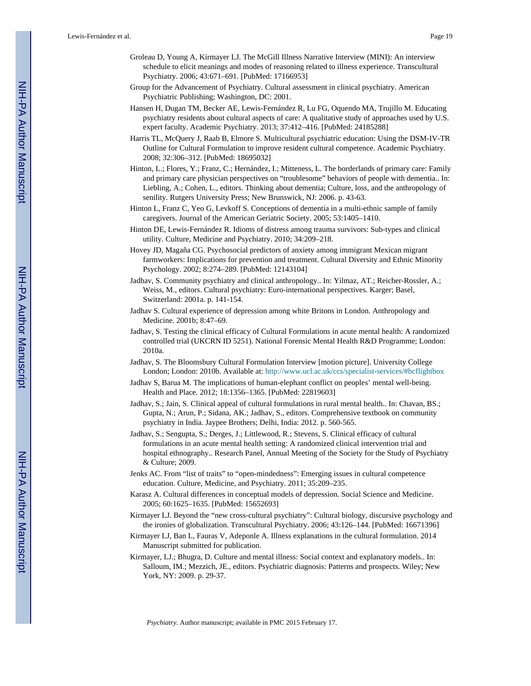- Groleau D, Young A, Kirmayer LJ. The McGill Illness Narrative Interview (MINI): An interview schedule to elicit meanings and modes of reasoning related to illness experience. Transcultural Psychiatry. 2006; 43:671–691. [PubMed: 17166953]
- Group for the Advancement of Psychiatry. Cultural assessment in clinical psychiatry. American Psychiatric Publishing; Washington, DC: 2001.
- Hansen H, Dugan TM, Becker AE, Lewis-Fernández R, Lu FG, Oquendo MA, Trujillo M. Educating psychiatry residents about cultural aspects of care: A qualitative study of approaches used by U.S. expert faculty. Academic Psychiatry. 2013; 37:412–416. [PubMed: 24185288]
- Harris TL, McQuery J, Raab B, Elmore S. Multicultural psychiatric education: Using the DSM-IV-TR Outline for Cultural Formulation to improve resident cultural competence. Academic Psychiatry. 2008; 32:306–312. [PubMed: 18695032]
- Hinton, L.; Flores, Y.; Franz, C.; Hernández, I.; Mitteness, L. The borderlands of primary care: Family and primary care physician perspectives on "troublesome" behaviors of people with dementia.. In: Liebling, A.; Cohen, L., editors. Thinking about dementia; Culture, loss, and the anthropology of senility. Rutgers University Press; New Brunswick, NJ: 2006. p. 43-63.
- Hinton L, Franz C, Yeo G, Levkoff S. Conceptions of dementia in a multi-ethnic sample of family caregivers. Journal of the American Geriatric Society. 2005; 53:1405–1410.
- Hinton DE, Lewis-Fernández R. Idioms of distress among trauma survivors: Sub-types and clinical utility. Culture, Medicine and Psychiatry. 2010; 34:209–218.
- Hovey JD, Magaña CG. Psychosocial predictors of anxiety among immigrant Mexican migrant farmworkers: Implications for prevention and treatment. Cultural Diversity and Ethnic Minority Psychology. 2002; 8:274–289. [PubMed: 12143104]
- Jadhav, S. Community psychiatry and clinical anthropology.. In: Yilmaz, AT.; Reicher-Rossler, A.; Weiss, M., editors. Cultural psychiatry: Euro-international perspectives. Karger; Basel, Switzerland: 2001a. p. 141-154.
- Jadhav S. Cultural experience of depression among white Britons in London. Anthropology and Medicine. 2001b; 8:47–69.
- Jadhav, S. Testing the clinical efficacy of Cultural Formulations in acute mental health: A randomized controlled trial (UKCRN ID 5251). National Forensic Mental Health R&D Programme; London: 2010a.
- Jadhav, S. The Bloomsbury Cultural Formulation Interview [motion picture]. University College London; London: 2010b. Available at: <http://www.ucl.ac.uk/ccs/specialist-services/#bcflightbox>
- Jadhav S, Barua M. The implications of human-elephant conflict on peoples' mental well-being. Health and Place. 2012; 18:1356–1365. [PubMed: 22819603]
- Jadhav, S.; Jain, S. Clinical appeal of cultural formulations in rural mental health.. In: Chavan, BS.; Gupta, N.; Arun, P.; Sidana, AK.; Jadhav, S., editors. Comprehensive textbook on community psychiatry in India. Jaypee Brothers; Delhi, India: 2012. p. 560-565.
- Jadhav, S.; Sengupta, S.; Derges, J.; Littlewood, R.; Stevens, S. Clinical efficacy of cultural formulations in an acute mental health setting: A randomized clinical intervention trial and hospital ethnography.. Research Panel, Annual Meeting of the Society for the Study of Psychiatry & Culture; 2009.
- Jenks AC. From "list of traits" to "open-mindedness": Emerging issues in cultural competence education. Culture, Medicine, and Psychiatry. 2011; 35:209–235.
- Karasz A. Cultural differences in conceptual models of depression. Social Science and Medicine. 2005; 60:1625–1635. [PubMed: 15652693]
- Kirmayer LJ. Beyond the "new cross-cultural psychiatry": Cultural biology, discursive psychology and the ironies of globalization. Transcultural Psychiatry. 2006; 43:126–144. [PubMed: 16671396]
- Kirmayer LJ, Ban L, Fauras V, Adeponle A. Illness explanations in the cultural formulation. 2014 Manuscript submitted for publication.
- Kirmayer, LJ.; Bhugra, D. Culture and mental illness: Social context and explanatory models.. In: Salloum, IM.; Mezzich, JE., editors. Psychiatric diagnosis: Patterns and prospects. Wiley; New York, NY: 2009. p. 29-37.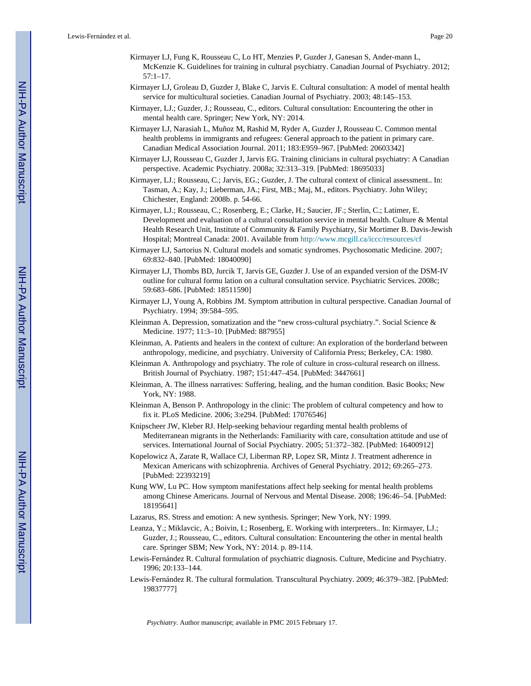- Kirmayer LJ, Fung K, Rousseau C, Lo HT, Menzies P, Guzder J, Ganesan S, Ander-mann L, McKenzie K. Guidelines for training in cultural psychiatry. Canadian Journal of Psychiatry. 2012; 57:1–17.
- Kirmayer LJ, Groleau D, Guzder J, Blake C, Jarvis E. Cultural consultation: A model of mental health service for multicultural societies. Canadian Journal of Psychiatry. 2003; 48:145–153.
- Kirmayer, LJ.; Guzder, J.; Rousseau, C., editors. Cultural consultation: Encountering the other in mental health care. Springer; New York, NY: 2014.
- Kirmayer LJ, Narasiah L, Muñoz M, Rashid M, Ryder A, Guzder J, Rousseau C. Common mental health problems in immigrants and refugees: General approach to the patient in primary care. Canadian Medical Association Journal. 2011; 183:E959–967. [PubMed: 20603342]
- Kirmayer LJ, Rousseau C, Guzder J, Jarvis EG. Training clinicians in cultural psychiatry: A Canadian perspective. Academic Psychiatry. 2008a; 32:313–319. [PubMed: 18695033]
- Kirmayer, LJ.; Rousseau, C.; Jarvis, EG.; Guzder, J. The cultural context of clinical assessment.. In: Tasman, A.; Kay, J.; Lieberman, JA.; First, MB.; Maj, M., editors. Psychiatry. John Wiley; Chichester, England: 2008b. p. 54-66.
- Kirmayer, LJ.; Rousseau, C.; Rosenberg, E.; Clarke, H.; Saucier, JF.; Sterlin, C.; Latimer, E. Development and evaluation of a cultural consultation service in mental health. Culture & Mental Health Research Unit, Institute of Community & Family Psychiatry, Sir Mortimer B. Davis-Jewish Hospital; Montreal Canada: 2001. Available from <http://www.mcgill.ca/iccc/resources/cf>
- Kirmayer LJ, Sartorius N. Cultural models and somatic syndromes. Psychosomatic Medicine. 2007; 69:832–840. [PubMed: 18040090]
- Kirmayer LJ, Thombs BD, Jurcik T, Jarvis GE, Guzder J. Use of an expanded version of the DSM-IV outline for cultural formu lation on a cultural consultation service. Psychiatric Services. 2008c; 59:683–686. [PubMed: 18511590]
- Kirmayer LJ, Young A, Robbins JM. Symptom attribution in cultural perspective. Canadian Journal of Psychiatry. 1994; 39:584–595.
- Kleinman A. Depression, somatization and the "new cross-cultural psychiatry.". Social Science  $\&$ Medicine. 1977; 11:3–10. [PubMed: 887955]
- Kleinman, A. Patients and healers in the context of culture: An exploration of the borderland between anthropology, medicine, and psychiatry. University of California Press; Berkeley, CA: 1980.
- Kleinman A. Anthropology and psychiatry. The role of culture in cross-cultural research on illness. British Journal of Psychiatry. 1987; 151:447–454. [PubMed: 3447661]
- Kleinman, A. The illness narratives: Suffering, healing, and the human condition. Basic Books; New York, NY: 1988.
- Kleinman A, Benson P. Anthropology in the clinic: The problem of cultural competency and how to fix it. PLoS Medicine. 2006; 3:e294. [PubMed: 17076546]
- Knipscheer JW, Kleber RJ. Help-seeking behaviour regarding mental health problems of Mediterranean migrants in the Netherlands: Familiarity with care, consultation attitude and use of services. International Journal of Social Psychiatry. 2005; 51:372–382. [PubMed: 16400912]
- Kopelowicz A, Zarate R, Wallace CJ, Liberman RP, Lopez SR, Mintz J. Treatment adherence in Mexican Americans with schizophrenia. Archives of General Psychiatry. 2012; 69:265–273. [PubMed: 22393219]
- Kung WW, Lu PC. How symptom manifestations affect help seeking for mental health problems among Chinese Americans. Journal of Nervous and Mental Disease. 2008; 196:46–54. [PubMed: 18195641]
- Lazarus, RS. Stress and emotion: A new synthesis. Springer; New York, NY: 1999.
- Leanza, Y.; Miklavcic, A.; Boivin, I.; Rosenberg, E. Working with interpreters.. In: Kirmayer, LJ.; Guzder, J.; Rousseau, C., editors. Cultural consultation: Encountering the other in mental health care. Springer SBM; New York, NY: 2014. p. 89-114.
- Lewis-Fernández R. Cultural formulation of psychiatric diagnosis. Culture, Medicine and Psychiatry. 1996; 20:133–144.
- Lewis-Fernández R. The cultural formulation. Transcultural Psychiatry. 2009; 46:379–382. [PubMed: 19837777]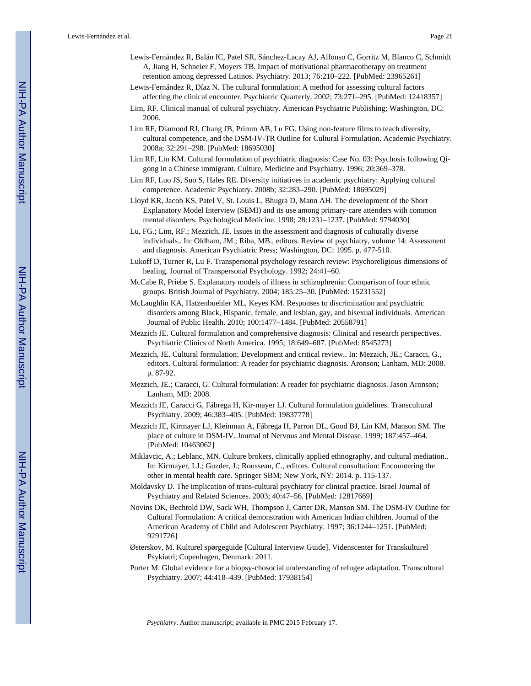- Lewis-Fernández R, Balán IC, Patel SR, Sánchez-Lacay AJ, Alfonso C, Gorritz M, Blanco C, Schmidt A, Jiang H, Schneier F, Moyers TB. Impact of motivational pharmacotherapy on treatment retention among depressed Latinos. Psychiatry. 2013; 76:210–222. [PubMed: 23965261]
- Lewis-Fernández R, Díaz N. The cultural formulation: A method for assessing cultural factors affecting the clinical encounter. Psychiatric Quarterly. 2002; 73:271–295. [PubMed: 12418357]
- Lim, RF. Clinical manual of cultural psychiatry. American Psychiatric Publishing; Washington, DC: 2006.
- Lim RF, Diamond RJ, Chang JB, Primm AB, Lu FG. Using non-feature films to teach diversity, cultural competence, and the DSM-IV-TR Outline for Cultural Formulation. Academic Psychiatry. 2008a; 32:291–298. [PubMed: 18695030]
- Lim RF, Lin KM. Cultural formulation of psychiatric diagnosis: Case No. 03: Psychosis following Qigong in a Chinese immigrant. Culture, Medicine and Psychiatry. 1996; 20:369–378.
- Lim RF, Luo JS, Suo S, Hales RE. Diversity initiatives in academic psychiatry: Applying cultural competence. Academic Psychiatry. 2008b; 32:283–290. [PubMed: 18695029]
- Lloyd KR, Jacob KS, Patel V, St. Louis L, Bhugra D, Mann AH. The development of the Short Explanatory Model Interview (SEMI) and its use among primary-care attenders with common mental disorders. Psychological Medicine. 1998; 28:1231–1237. [PubMed: 9794030]
- Lu, FG.; Lim, RF.; Mezzich, JE. Issues in the assessment and diagnosis of culturally diverse individuals.. In: Oldham, JM.; Riba, MB., editors. Review of psychiatry, volume 14: Assessment and diagnosis. American Psychiatric Press; Washington, DC: 1995. p. 477-510.
- Lukoff D, Turner R, Lu F. Transpersonal psychology research review: Psychoreligious dimensions of healing. Journal of Transpersonal Psychology. 1992; 24:41–60.
- McCabe R, Priebe S. Explanatory models of illness in schizophrenia: Comparison of four ethnic groups. British Journal of Psychiatry. 2004; 185:25–30. [PubMed: 15231552]
- McLaughlin KA, Hatzenbuehler ML, Keyes KM. Responses to discrimination and psychiatric disorders among Black, Hispanic, female, and lesbian, gay, and bisexual individuals. American Journal of Public Health. 2010; 100:1477–1484. [PubMed: 20558791]
- Mezzich JE. Cultural formulation and comprehensive diagnosis: Clinical and research perspectives. Psychiatric Clinics of North America. 1995; 18:649–687. [PubMed: 8545273]
- Mezzich, JE. Cultural formulation: Development and critical review.. In: Mezzich, JE.; Caracci, G., editors. Cultural formulation: A reader for psychiatric diagnosis. Aronson; Lanham, MD: 2008. p. 87-92.
- Mezzich, JE.; Caracci, G. Cultural formulation: A reader for psychiatric diagnosis. Jason Aronson; Lanham, MD: 2008.
- Mezzich JE, Caracci G, Fábrega H, Kir-mayer LJ. Cultural formulation guidelines. Transcultural Psychiatry. 2009; 46:383–405. [PubMed: 19837778]
- Mezzich JE, Kirmayer LJ, Kleinman A, Fábrega H, Parron DL, Good BJ, Lin KM, Manson SM. The place of culture in DSM-IV. Journal of Nervous and Mental Disease. 1999; 187:457–464. [PubMed: 10463062]
- Miklavcic, A.; Leblanc, MN. Culture brokers, clinically applied ethnography, and cultural mediation.. In: Kirmayer, LJ.; Guzder, J.; Rousseau, C., editors. Cultural consultation: Encountering the other in mental health care. Springer SBM; New York, NY: 2014. p. 115-137.
- Moldavsky D. The implication of trans-cultural psychiatry for clinical practice. Israel Journal of Psychiatry and Related Sciences. 2003; 40:47–56. [PubMed: 12817669]
- Novins DK, Bechtold DW, Sack WH, Thompson J, Carter DR, Manson SM. The DSM-IV Outline for Cultural Formulation: A critical demonstration with American Indian children. Journal of the American Academy of Child and Adolescent Psychiatry. 1997; 36:1244–1251. [PubMed: 9291726]
- Østerskov, M. Kulturel spørgeguide [Cultural Interview Guide]. Videnscenter for Transkulturel Psykiatri; Copenhagen, Denmark: 2011.
- Porter M. Global evidence for a biopsy-chosocial understanding of refugee adaptation. Transcultural Psychiatry. 2007; 44:418–439. [PubMed: 17938154]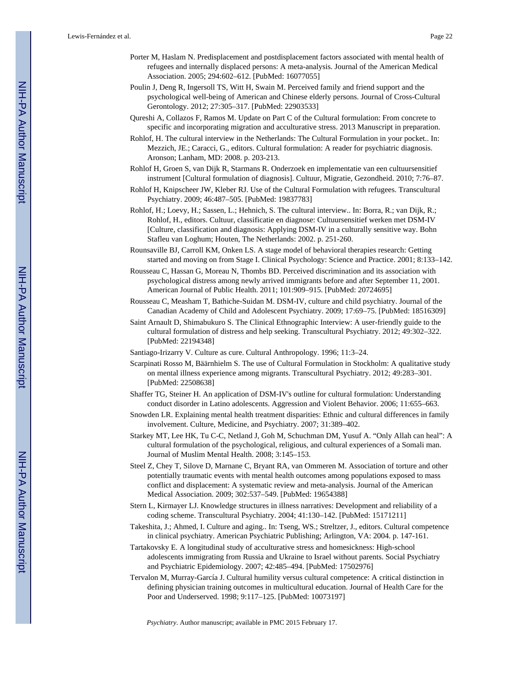- Porter M, Haslam N. Predisplacement and postdisplacement factors associated with mental health of refugees and internally displaced persons: A meta-analysis. Journal of the American Medical Association. 2005; 294:602–612. [PubMed: 16077055]
- Poulin J, Deng R, Ingersoll TS, Witt H, Swain M. Perceived family and friend support and the psychological well-being of American and Chinese elderly persons. Journal of Cross-Cultural Gerontology. 2012; 27:305–317. [PubMed: 22903533]
- Qureshi A, Collazos F, Ramos M. Update on Part C of the Cultural formulation: From concrete to specific and incorporating migration and acculturative stress. 2013 Manuscript in preparation.
- Rohlof, H. The cultural interview in the Netherlands: The Cultural Formulation in your pocket.. In: Mezzich, JE.; Caracci, G., editors. Cultural formulation: A reader for psychiatric diagnosis. Aronson; Lanham, MD: 2008. p. 203-213.
- Rohlof H, Groen S, van Dijk R, Starmans R. Onderzoek en implementatie van een cultuursensitief instrument [Cultural formulation of diagnosis]. Cultuur, Migratie, Gezondheid. 2010; 7:76–87.
- Rohlof H, Knipscheer JW, Kleber RJ. Use of the Cultural Formulation with refugees. Transcultural Psychiatry. 2009; 46:487–505. [PubMed: 19837783]
- Rohlof, H.; Loevy, H.; Sassen, L.; Hehnich, S. The cultural interview.. In: Borra, R.; van Dijk, R.; Rohlof, H., editors. Cultuur, classificatie en diagnose: Cultuursensitief werken met DSM-IV [Culture, classification and diagnosis: Applying DSM-IV in a culturally sensitive way. Bohn Stafleu van Loghum; Houten, The Netherlands: 2002. p. 251-260.
- Rounsaville BJ, Carroll KM, Onken LS. A stage model of behavioral therapies research: Getting started and moving on from Stage I. Clinical Psychology: Science and Practice. 2001; 8:133–142.
- Rousseau C, Hassan G, Moreau N, Thombs BD. Perceived discrimination and its association with psychological distress among newly arrived immigrants before and after September 11, 2001. American Journal of Public Health. 2011; 101:909–915. [PubMed: 20724695]
- Rousseau C, Measham T, Bathiche-Suidan M. DSM-IV, culture and child psychiatry. Journal of the Canadian Academy of Child and Adolescent Psychiatry. 2009; 17:69–75. [PubMed: 18516309]
- Saint Arnault D, Shimabukuro S. The Clinical Ethnographic Interview: A user-friendly guide to the cultural formulation of distress and help seeking. Transcultural Psychiatry. 2012; 49:302–322. [PubMed: 22194348]
- Santiago-Irizarry V. Culture as cure. Cultural Anthropology. 1996; 11:3–24.
- Scarpinati Rosso M, Bäärnhielm S. The use of Cultural Formulation in Stockholm: A qualitative study on mental illness experience among migrants. Transcultural Psychiatry. 2012; 49:283–301. [PubMed: 22508638]
- Shaffer TG, Steiner H. An application of DSM-IV's outline for cultural formulation: Understanding conduct disorder in Latino adolescents. Aggression and Violent Behavior. 2006; 11:655–663.
- Snowden LR. Explaining mental health treatment disparities: Ethnic and cultural differences in family involvement. Culture, Medicine, and Psychiatry. 2007; 31:389–402.
- Starkey MT, Lee HK, Tu C-C, Netland J, Goh M, Schuchman DM, Yusuf A. "Only Allah can heal": A cultural formulation of the psychological, religious, and cultural experiences of a Somali man. Journal of Muslim Mental Health. 2008; 3:145–153.
- Steel Z, Chey T, Silove D, Marnane C, Bryant RA, van Ommeren M. Association of torture and other potentially traumatic events with mental health outcomes among populations exposed to mass conflict and displacement: A systematic review and meta-analysis. Journal of the American Medical Association. 2009; 302:537–549. [PubMed: 19654388]
- Stern L, Kirmayer LJ. Knowledge structures in illness narratives: Development and reliability of a coding scheme. Transcultural Psychiatry. 2004; 41:130–142. [PubMed: 15171211]
- Takeshita, J.; Ahmed, I. Culture and aging.. In: Tseng, WS.; Streltzer, J., editors. Cultural competence in clinical psychiatry. American Psychiatric Publishing; Arlington, VA: 2004. p. 147-161.
- Tartakovsky E. A longitudinal study of acculturative stress and homesickness: High-school adolescents immigrating from Russia and Ukraine to Israel without parents. Social Psychiatry and Psychiatric Epidemiology. 2007; 42:485–494. [PubMed: 17502976]
- Tervalon M, Murray-García J. Cultural humility versus cultural competence: A critical distinction in defining physician training outcomes in multicultural education. Journal of Health Care for the Poor and Underserved. 1998; 9:117–125. [PubMed: 10073197]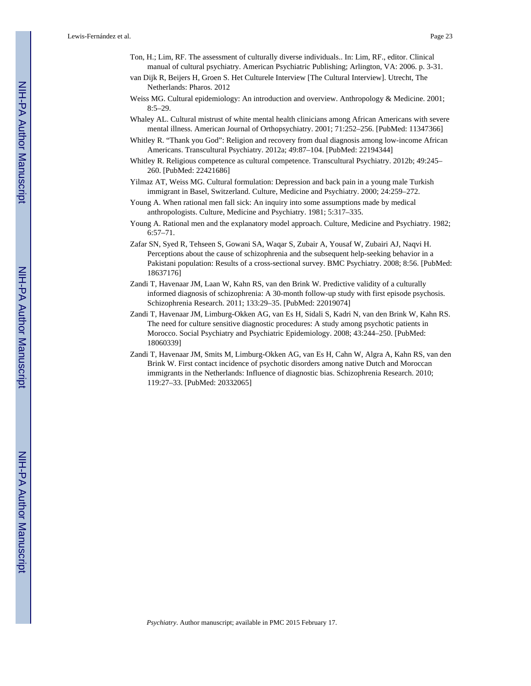- Ton, H.; Lim, RF. The assessment of culturally diverse individuals.. In: Lim, RF., editor. Clinical manual of cultural psychiatry. American Psychiatric Publishing; Arlington, VA: 2006. p. 3-31.
- van Dijk R, Beijers H, Groen S. Het Culturele Interview [The Cultural Interview]. Utrecht, The Netherlands: Pharos. 2012
- Weiss MG. Cultural epidemiology: An introduction and overview. Anthropology & Medicine. 2001;  $8:5-29.$
- Whaley AL. Cultural mistrust of white mental health clinicians among African Americans with severe mental illness. American Journal of Orthopsychiatry. 2001; 71:252–256. [PubMed: 11347366]
- Whitley R. "Thank you God": Religion and recovery from dual diagnosis among low-income African Americans. Transcultural Psychiatry. 2012a; 49:87–104. [PubMed: 22194344]
- Whitley R. Religious competence as cultural competence. Transcultural Psychiatry. 2012b; 49:245– 260. [PubMed: 22421686]
- Yilmaz AT, Weiss MG. Cultural formulation: Depression and back pain in a young male Turkish immigrant in Basel, Switzerland. Culture, Medicine and Psychiatry. 2000; 24:259–272.
- Young A. When rational men fall sick: An inquiry into some assumptions made by medical anthropologists. Culture, Medicine and Psychiatry. 1981; 5:317–335.
- Young A. Rational men and the explanatory model approach. Culture, Medicine and Psychiatry. 1982; 6:57–71.
- Zafar SN, Syed R, Tehseen S, Gowani SA, Waqar S, Zubair A, Yousaf W, Zubairi AJ, Naqvi H. Perceptions about the cause of schizophrenia and the subsequent help-seeking behavior in a Pakistani population: Results of a cross-sectional survey. BMC Psychiatry. 2008; 8:56. [PubMed: 18637176]
- Zandi T, Havenaar JM, Laan W, Kahn RS, van den Brink W. Predictive validity of a culturally informed diagnosis of schizophrenia: A 30-month follow-up study with first episode psychosis. Schizophrenia Research. 2011; 133:29–35. [PubMed: 22019074]
- Zandi T, Havenaar JM, Limburg-Okken AG, van Es H, Sidali S, Kadri N, van den Brink W, Kahn RS. The need for culture sensitive diagnostic procedures: A study among psychotic patients in Morocco. Social Psychiatry and Psychiatric Epidemiology. 2008; 43:244–250. [PubMed: 18060339]
- Zandi T, Havenaar JM, Smits M, Limburg-Okken AG, van Es H, Cahn W, Algra A, Kahn RS, van den Brink W. First contact incidence of psychotic disorders among native Dutch and Moroccan immigrants in the Netherlands: Influence of diagnostic bias. Schizophrenia Research. 2010; 119:27–33. [PubMed: 20332065]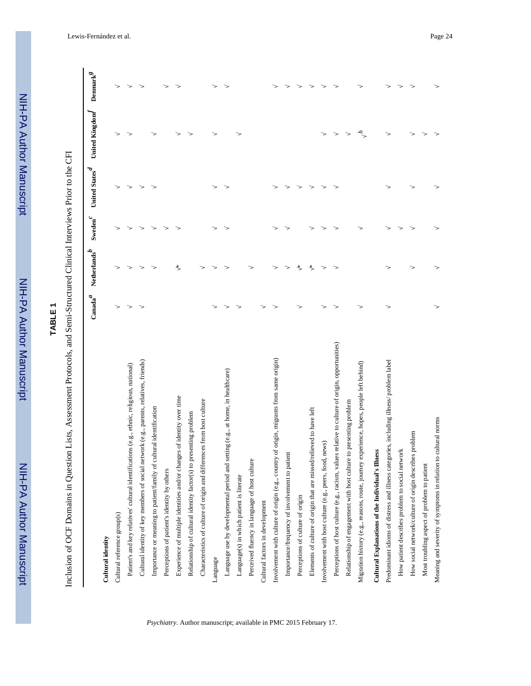# **TABLE 1**

Inclusion of OCF Domains in Question Lists, Assessment Protocols, and Semi-Structured Clinical Interviews Prior to the CFI Inclusion of OCF Domains in Question Lists, Assessment Protocols, and Semi-Structured Clinical Interviews Prior to the CFI

|                                                                                                 | $\mathrm{Canada}^{\mathcal{A}}$ | Netherlands <sup>b</sup> | ${\bf Sweden}^{\mathcal{C}}$ | United States $\boldsymbol{d}$ | United Kingdom | $\mathbf{Demark}^g$ |
|-------------------------------------------------------------------------------------------------|---------------------------------|--------------------------|------------------------------|--------------------------------|----------------|---------------------|
| Cultural identity                                                                               |                                 |                          |                              |                                |                |                     |
| Cultural reference group(s)                                                                     |                                 |                          |                              |                                |                |                     |
| Patient's and key relatives' cultural identifications (e.g., ethnic, religious, national)       |                                 |                          |                              |                                |                |                     |
| Cultural identity of key members of social network (e.g., parents, relatives, friends)          |                                 |                          |                              |                                |                |                     |
| Importance or meaning to patient/family of cultural identification                              |                                 |                          |                              |                                |                |                     |
| Perceptions of patient's identity by others                                                     |                                 |                          |                              |                                |                |                     |
| Experience of multiple identities and/or changes of identity over time                          |                                 | $\frac{M}{M}$            |                              |                                |                |                     |
| Relationship of cultural identity factor(s) to presenting problem                               |                                 |                          |                              |                                |                |                     |
| Characteristics of culture of origin and differences from host culture                          |                                 |                          |                              |                                |                |                     |
| Language                                                                                        |                                 |                          |                              |                                |                |                     |
| Language use by developmental period and setting (e.g., at home, in healthcare)                 |                                 |                          |                              |                                |                |                     |
| Language(s) in which patient is literate                                                        |                                 |                          |                              |                                |                |                     |
| Perceived fluency in language of host culture                                                   |                                 |                          |                              |                                |                |                     |
| Cultural factors in development                                                                 |                                 |                          |                              |                                |                |                     |
| of origin, migrants from same origin)<br>Involvement with culture of origin (e.g., country      |                                 |                          |                              |                                |                |                     |
| Importance/frequency of involvement to patient                                                  |                                 |                          |                              |                                |                |                     |
| Perceptions of culture of origin                                                                |                                 | ∗                        |                              |                                |                |                     |
| Elements of culture of origin that are missed/relieved to have left                             |                                 | ₩                        |                              |                                |                |                     |
| news)<br>Involvement with host culture (e.g., peers, food,                                      |                                 |                          |                              |                                |                |                     |
| Perceptions of host culture (e.g., racism, values relative to culture of origin, opportunities) |                                 |                          |                              |                                |                |                     |
| Relationship of engagement with host culture to presenting problem                              |                                 |                          |                              |                                |                |                     |
| Migration history (e.g., reasons, route, journey experience, hopes, people left behind)         |                                 |                          |                              |                                | 4              |                     |
| Cultural Explanations of the Individual's Illness                                               |                                 |                          |                              |                                |                |                     |
| Predominant idioms of distress and illness categories, including illness/ problem label         |                                 |                          |                              |                                |                |                     |
| How patient describes problem to social network                                                 |                                 |                          |                              |                                |                |                     |
| How social network/culture of origin describes problem                                          |                                 |                          |                              |                                |                |                     |
| Most troubling aspect of problem to patient                                                     |                                 |                          |                              |                                |                |                     |
| cultural norms<br>Meaning and severity of symptoms in relation to                               |                                 |                          |                              |                                |                |                     |
|                                                                                                 |                                 |                          |                              |                                |                |                     |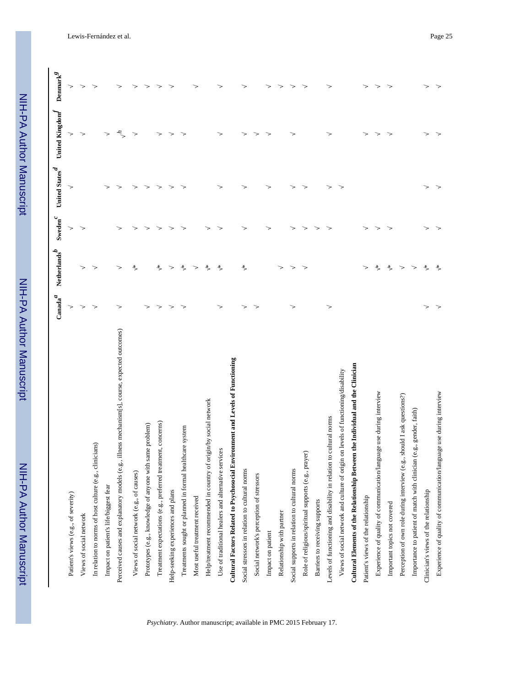|                                                                                                 | $\mbox{Canada}^{\mathcal{A}}$ | Netherlands $\boldsymbol{\delta}$ | Sweden $^c$ | United States $\real^d$ | United Kingdom $\boldsymbol{f}$ | $\mathbf{Demark}^g$ |
|-------------------------------------------------------------------------------------------------|-------------------------------|-----------------------------------|-------------|-------------------------|---------------------------------|---------------------|
| Patient's views (e.g., of severity)                                                             |                               |                                   |             |                         |                                 |                     |
| Views of social network                                                                         |                               |                                   |             |                         |                                 |                     |
| In relation to norms of host culture (e.g., clinicians)                                         |                               |                                   |             |                         |                                 |                     |
| Impact on patient's life/biggest fear                                                           |                               |                                   |             |                         |                                 |                     |
| Perceived causes and explanatory models (e.g., illness mechanism[s], course, expected outcomes) |                               |                                   |             |                         | r                               |                     |
| Views of social network (e.g., of causes)                                                       |                               | ₩                                 |             |                         |                                 |                     |
| Prototypes (e.g., knowledge of anyone with same problem)                                        |                               |                                   |             |                         |                                 |                     |
| Treatment expectations (e.g., preferred treatment, concerns)                                    |                               | ₩                                 |             |                         |                                 |                     |
| Help-seeking experiences and plans                                                              |                               |                                   |             |                         |                                 |                     |
| Treatments sought or planned in formal healthcare system                                        |                               | $\ast$                            |             |                         |                                 |                     |
| Most useful treatment received                                                                  |                               |                                   |             |                         |                                 |                     |
| Help/treatment recommended in country of origin/by social network                               |                               | ∗                                 |             |                         |                                 |                     |
| Use of traditional healers and alternative services                                             |                               | $\ast$                            |             |                         |                                 |                     |
| Cultural Factors Related to Psychosocial Environment and Levels of Functioning                  |                               |                                   |             |                         |                                 |                     |
| Social stressors in relation to cultural norms                                                  |                               | ₩                                 |             |                         |                                 |                     |
| Social network's perception of stressors                                                        |                               |                                   |             |                         |                                 |                     |
| Impact on patient                                                                               |                               |                                   |             |                         |                                 |                     |
| Relationship with partner                                                                       |                               |                                   |             |                         |                                 |                     |
| Social supports in relation to cultural norms                                                   |                               |                                   |             |                         |                                 |                     |
| Role of religious/spiritual supports (e.g., prayer)                                             |                               |                                   |             |                         |                                 |                     |
| Barriers to receiving supports                                                                  |                               |                                   |             |                         |                                 |                     |
| Levels of functioning and disability in relation to cultural norms                              |                               |                                   |             |                         |                                 |                     |
| Views of social network and culture of origin on levels of functioning/disability               |                               |                                   |             |                         |                                 |                     |
| Cultural Elements of the Relationship Between the Individual and the Clinician                  |                               |                                   |             |                         |                                 |                     |
| Patient's views of the relationship                                                             |                               |                                   |             |                         |                                 |                     |
| Experience of quality of communication/language use during interview                            |                               | $\mathcal{H}$                     |             |                         |                                 |                     |
| Important topics not covered                                                                    |                               | ₩                                 |             |                         |                                 |                     |
| Perception of own role during interview (e.g., should I ask questions?)                         |                               |                                   |             |                         |                                 |                     |
| Importance to patient of match with clinician (e.g., gender, faith)                             |                               |                                   |             |                         |                                 |                     |
| Clinician's views of the relationship                                                           |                               | $\star$                           |             |                         |                                 |                     |
| Experience of quality of communication/language use during interview                            |                               | $\boldsymbol{\times}$             |             |                         |                                 |                     |
|                                                                                                 |                               |                                   |             |                         |                                 |                     |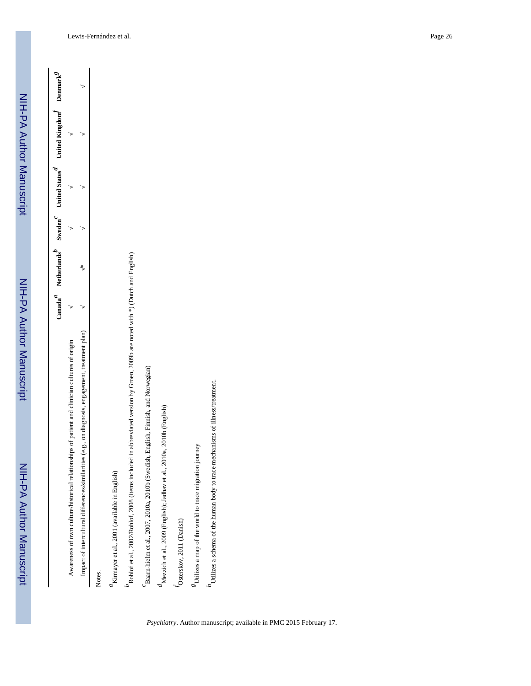|                                                                                                                                  |   | Canada $^d$ Netherlands <sup><math>^D</math></sup> Sweden <sup><math>^c</math></sup> United States <sup><math>^d</math></sup> | United Kingdom Denmark <sup>8</sup> |  |
|----------------------------------------------------------------------------------------------------------------------------------|---|-------------------------------------------------------------------------------------------------------------------------------|-------------------------------------|--|
| Awareness of own culture/historical relationships of patient and clinician cultures of origin                                    |   |                                                                                                                               |                                     |  |
| (e.g., on diagnosis, engagement, treatment plan)<br>Impact of intercultural differences/similarities                             | ∗ |                                                                                                                               |                                     |  |
| Notes.                                                                                                                           |   |                                                                                                                               |                                     |  |
| "Kirmayer et al., 2001 (available in English)                                                                                    |   |                                                                                                                               |                                     |  |
| in abbreviated version by Groen, 2009b are noted with *) (Dutch and English)<br>Rohlof et al., 2002/Rohlof, 2008 (items included |   |                                                                                                                               |                                     |  |
| Baarn-hielm et al., 2007, 2010a, 2010b (Swedish, English, Finnish, and Norwegian)                                                |   |                                                                                                                               |                                     |  |
| "Mezzich et al., 2009 (English); Jadhav et al., 2010a, 2010b (English)                                                           |   |                                                                                                                               |                                     |  |
| Osterskov, 2011 (Danish)                                                                                                         |   |                                                                                                                               |                                     |  |
| <sup>5</sup> Utilizes a map of the world to trace migration journey                                                              |   |                                                                                                                               |                                     |  |
| Utilizes a schema of the human body to trace mechanisms of illness/treatment.                                                    |   |                                                                                                                               |                                     |  |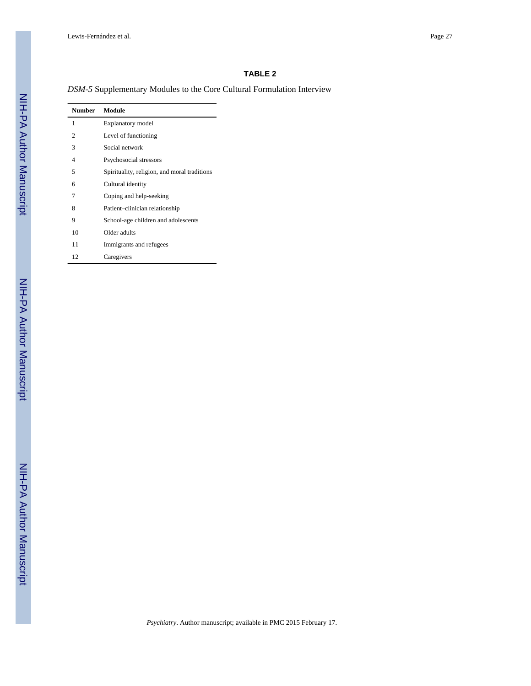# **TABLE 2**

*DSM-5* Supplementary Modules to the Core Cultural Formulation Interview

| <b>Number</b>  | Module                                       |
|----------------|----------------------------------------------|
| 1              | <b>Explanatory</b> model                     |
| $\mathfrak{2}$ | Level of functioning                         |
| 3              | Social network                               |
| 4              | Psychosocial stressors                       |
| 5              | Spirituality, religion, and moral traditions |
| 6              | Cultural identity                            |
| 7              | Coping and help-seeking                      |
| 8              | Patient-clinician relationship               |
| 9              | School-age children and adolescents          |
| 10             | Older adults                                 |
| 11             | Immigrants and refugees                      |
| 12             | Caregivers                                   |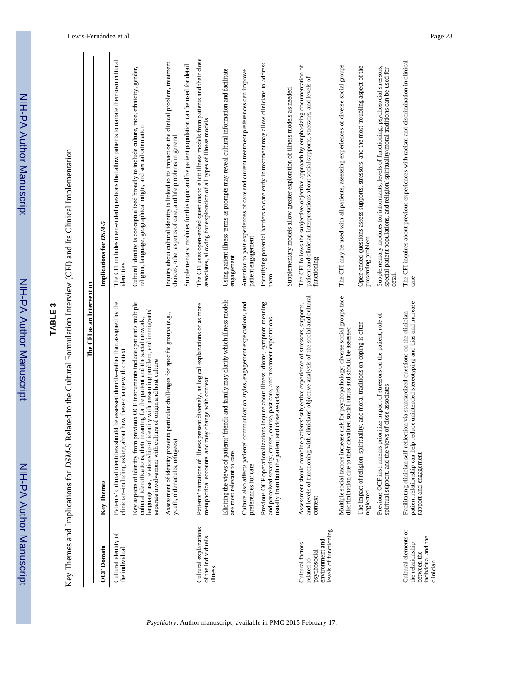|                                                                                            | The CFI as an Intervention                                                                                                                                                                                                                                                                                                 |                                                                                                                                                                                           |
|--------------------------------------------------------------------------------------------|----------------------------------------------------------------------------------------------------------------------------------------------------------------------------------------------------------------------------------------------------------------------------------------------------------------------------|-------------------------------------------------------------------------------------------------------------------------------------------------------------------------------------------|
| <b>OCF</b> Domain                                                                          | Key Themes                                                                                                                                                                                                                                                                                                                 | Implications for DSM-5                                                                                                                                                                    |
| Cultural identity of<br>the individual                                                     | Patients' cultural identities should be assessed directly-rather than assigned by the<br>clinician-including asking about how these change with context                                                                                                                                                                    | The CFI includes open-ended questions that allow patients to narrate their own cultural<br>identities                                                                                     |
|                                                                                            | Key aspects of identity from previous OCF instruments include: patient's multiple<br>identity with presenting problem, and immigrants'<br>cultural identifications, their meaning for the patient and the social network,<br>separate involvement with culture of origin and host culture<br>language use, relationship of | Cultural identity is conceptualized broadly to include culture, race, ethnicity, gender,<br>religion, language, geographical origin, and sexual orientation                               |
|                                                                                            | Assessment of identity presents particular challenges for specific groups (e.g.,<br>youth, older adults, refugees)                                                                                                                                                                                                         | Inquiry about cultural identity is linked to its impact on the clinical problem, treatment<br>choices, other aspects of care, and life problems in general                                |
|                                                                                            |                                                                                                                                                                                                                                                                                                                            | Supplementary modules for this topic and by patient population can be used for detail                                                                                                     |
| Cultural explanations<br>of the individual's<br>illness                                    | Patients' narrations of illness present diversely, as logical explanations or as more<br>metaphorical accounts, and may change with context                                                                                                                                                                                | The CFI uses open-ended questions to elicit illness models from patients and their close<br>associates, allowing for exploration of all types of illness models                           |
|                                                                                            | Eliciting the views of patients' friends and family may clarify which illness models<br>are most relevant to care                                                                                                                                                                                                          | Using patient illness terms as prompts may reveal cultural information and facilitate<br>engagement                                                                                       |
|                                                                                            | ommunication styles, engagement expectations, and<br>Culture also affects patients' c<br>preferences for care                                                                                                                                                                                                              | Attention to past experiences of care and current treatment preferences can improve<br>patient engagement                                                                                 |
|                                                                                            | Previous OCF operationalizations inquire about illness idioms, symptom meaning<br>and perceived severity, causes, course, past care, and treatment expectations,<br>usually from both the patient and close associates                                                                                                     | Identifying potential barriers to care early in treatment may allow clinicians to address<br>them                                                                                         |
|                                                                                            |                                                                                                                                                                                                                                                                                                                            | Supplementary models allow greater exploration of illness models as needed                                                                                                                |
| levels of functioning<br>environment and<br>Cultural factors<br>psychosocial<br>related to | clinicians' objective analysis of the social and cultural<br>Assessment should combine patients' subjective experience of stressors, supports,<br>and levels of functioning with<br>context                                                                                                                                | The CFI follows the subjective-objective approach by emphasizing documentation of<br>patient and clinician interpretations about social supports, stressors, and levels of<br>functioning |
|                                                                                            | Multiple social factors increase risk for psychopathology; diverse social groups face<br>discrimination due to their devalued social status and should be assessed                                                                                                                                                         | The CFI may be used with all patients, assessing experiences of diverse social groups                                                                                                     |
|                                                                                            | The impact of religion, spirituality, and moral traditions on coping is often<br>neglected                                                                                                                                                                                                                                 | Open-ended questions assess supports, stressors, and the most troubling aspect of the<br>presenting problem                                                                               |
|                                                                                            | Previous OCF instruments prioritize impact of stressors on the patient, role of<br>spiritual support, and the views of close associates                                                                                                                                                                                    | Supplementary modules for informants, levels of functioning, psychosocial stressors,<br>special patient populations, and religion/spirituality/moral traditions can be used for<br>detail |
| Cultural elements of<br>individual and the<br>the relationship<br>between the<br>clinician | patient relationship can help reduce unintended stereotyping and bias and increase<br>Facilitating clinician self-reflection via standardized questions on the clinician-<br>rapport and engagement                                                                                                                        | The CFI inquires about previous experiences with racism and discrimination in clinical<br>care                                                                                            |

**TABLE 3**